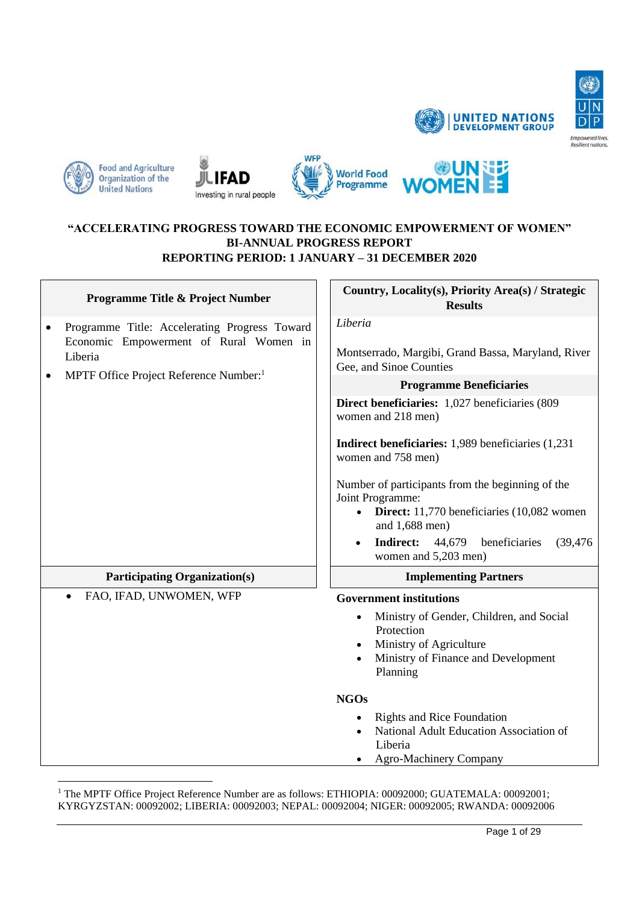











## **"ACCELERATING PROGRESS TOWARD THE ECONOMIC EMPOWERMENT OF WOMEN" BI-ANNUAL PROGRESS REPORT REPORTING PERIOD: 1 JANUARY – 31 DECEMBER 2020**

|              | <b>Programme Title &amp; Project Number</b>                                             | Country, Locality(s), Priority Area(s) / Strategic<br><b>Results</b>                                                                                                                                                                                                                                              |
|--------------|-----------------------------------------------------------------------------------------|-------------------------------------------------------------------------------------------------------------------------------------------------------------------------------------------------------------------------------------------------------------------------------------------------------------------|
| ٠<br>Liberia | Programme Title: Accelerating Progress Toward<br>Economic Empowerment of Rural Women in | Liberia<br>Montserrado, Margibi, Grand Bassa, Maryland, River<br>Gee, and Sinoe Counties                                                                                                                                                                                                                          |
|              | MPTF Office Project Reference Number: <sup>1</sup>                                      | <b>Programme Beneficiaries</b>                                                                                                                                                                                                                                                                                    |
|              |                                                                                         | Direct beneficiaries: 1,027 beneficiaries (809<br>women and 218 men)                                                                                                                                                                                                                                              |
|              |                                                                                         | Indirect beneficiaries: 1,989 beneficiaries (1,231)<br>women and 758 men)                                                                                                                                                                                                                                         |
|              |                                                                                         | Number of participants from the beginning of the<br>Joint Programme:<br>Direct: 11,770 beneficiaries (10,082 women<br>and 1,688 men)<br><b>Indirect:</b><br>44,679<br>beneficiaries<br>(39, 476)<br>women and 5,203 men)                                                                                          |
|              | <b>Participating Organization(s)</b>                                                    | <b>Implementing Partners</b>                                                                                                                                                                                                                                                                                      |
|              | FAO, IFAD, UNWOMEN, WFP                                                                 | <b>Government institutions</b><br>Ministry of Gender, Children, and Social<br>Protection<br>Ministry of Agriculture<br>Ministry of Finance and Development<br>Planning<br><b>NGOs</b><br><b>Rights and Rice Foundation</b><br>National Adult Education Association of<br>Liberia<br><b>Agro-Machinery Company</b> |

<sup>1</sup> The MPTF Office Project Reference Number are as follows: ETHIOPIA: 00092000; GUATEMALA: 00092001; KYRGYZSTAN: 00092002; LIBERIA: 00092003; NEPAL: 00092004; NIGER: 00092005; RWANDA: 00092006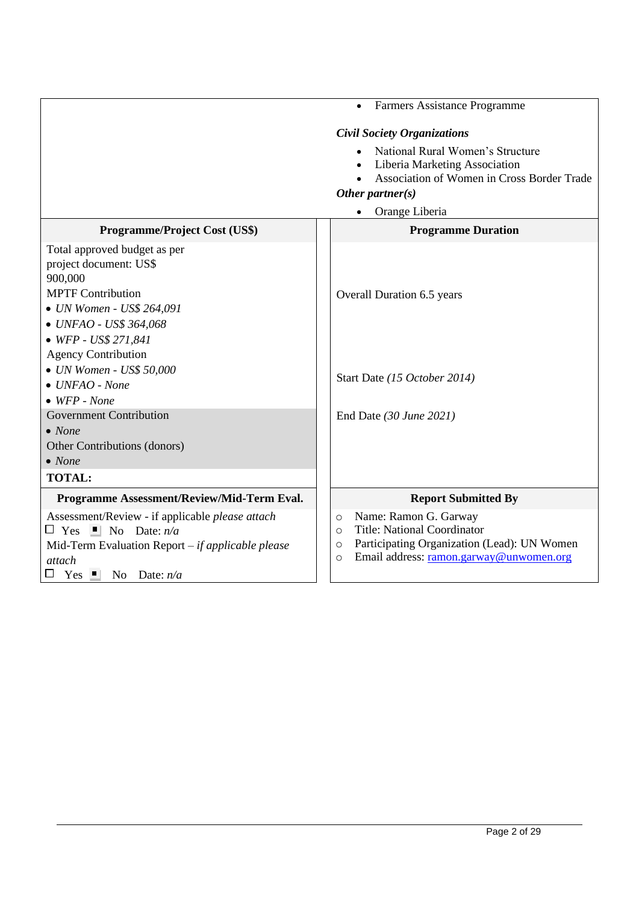|                                                                                                                                                                                                                                                                                                                                                                                                                                 | Farmers Assistance Programme<br>$\bullet$                                                                                                                                                         |
|---------------------------------------------------------------------------------------------------------------------------------------------------------------------------------------------------------------------------------------------------------------------------------------------------------------------------------------------------------------------------------------------------------------------------------|---------------------------------------------------------------------------------------------------------------------------------------------------------------------------------------------------|
|                                                                                                                                                                                                                                                                                                                                                                                                                                 | <b>Civil Society Organizations</b>                                                                                                                                                                |
|                                                                                                                                                                                                                                                                                                                                                                                                                                 | National Rural Women's Structure<br>Liberia Marketing Association<br>Association of Women in Cross Border Trade<br>Other partner $(s)$                                                            |
|                                                                                                                                                                                                                                                                                                                                                                                                                                 | Orange Liberia                                                                                                                                                                                    |
| <b>Programme/Project Cost (US\$)</b>                                                                                                                                                                                                                                                                                                                                                                                            | <b>Programme Duration</b>                                                                                                                                                                         |
| Total approved budget as per<br>project document: US\$<br>900,000<br><b>MPTF Contribution</b><br>• UN Women - US\$ 264,091<br>• UNFAO - US\$ 364,068<br>$\bullet$ WFP - US\$ 271,841<br><b>Agency Contribution</b><br>$\bullet$ UN Women - US\$ 50,000<br>$\bullet$ UNFAO - None<br>$\bullet$ WFP - None<br><b>Government Contribution</b><br>$\bullet$ None<br>Other Contributions (donors)<br>$\bullet$ None<br><b>TOTAL:</b> | Overall Duration 6.5 years<br>Start Date (15 October 2014)<br>End Date (30 June 2021)                                                                                                             |
| Programme Assessment/Review/Mid-Term Eval.                                                                                                                                                                                                                                                                                                                                                                                      | <b>Report Submitted By</b>                                                                                                                                                                        |
| Assessment/Review - if applicable <i>please</i> attach<br>$\Box$ Yes $\Box$ No Date: $n/a$<br>Mid-Term Evaluation Report $-i f$ applicable please<br><i>attach</i><br>$Yes \nightharpoonup$<br>No Date: $n/a$                                                                                                                                                                                                                   | Name: Ramon G. Garway<br>$\circ$<br><b>Title: National Coordinator</b><br>$\circ$<br>Participating Organization (Lead): UN Women<br>$\circ$<br>Email address: ramon.garway@unwomen.org<br>$\circ$ |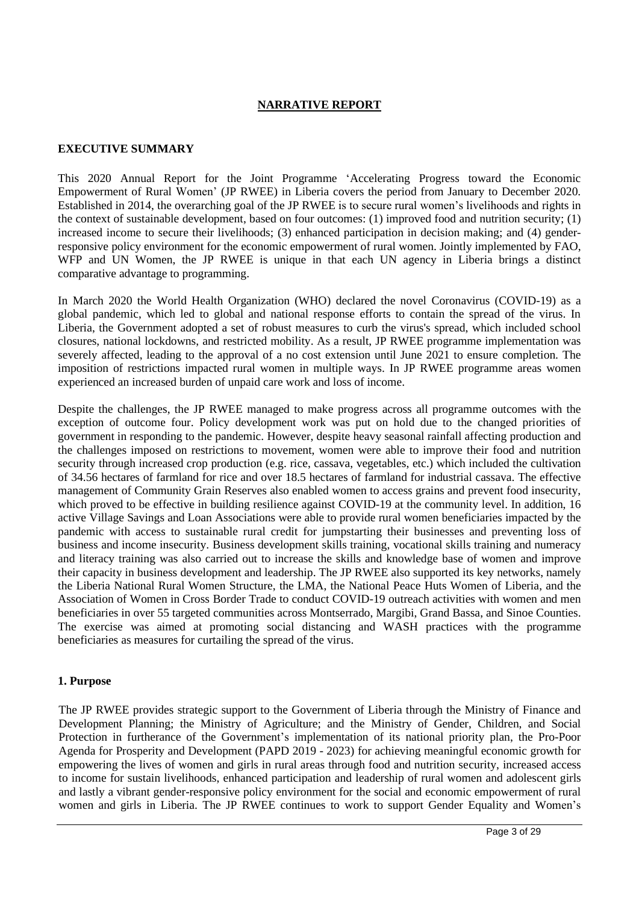# **NARRATIVE REPORT**

#### **EXECUTIVE SUMMARY**

This 2020 Annual Report for the Joint Programme 'Accelerating Progress toward the Economic Empowerment of Rural Women' (JP RWEE) in Liberia covers the period from January to December 2020. Established in 2014, the overarching goal of the JP RWEE is to secure rural women's livelihoods and rights in the context of sustainable development, based on four outcomes: (1) improved food and nutrition security; (1) increased income to secure their livelihoods; (3) enhanced participation in decision making; and (4) genderresponsive policy environment for the economic empowerment of rural women. Jointly implemented by FAO, WFP and UN Women, the JP RWEE is unique in that each UN agency in Liberia brings a distinct comparative advantage to programming.

In March 2020 the World Health Organization (WHO) declared the novel Coronavirus (COVID-19) as a global pandemic, which led to global and national response efforts to contain the spread of the virus. In Liberia, the Government adopted a set of robust measures to curb the virus's spread, which included school closures, national lockdowns, and restricted mobility. As a result, JP RWEE programme implementation was severely affected, leading to the approval of a no cost extension until June 2021 to ensure completion. The imposition of restrictions impacted rural women in multiple ways. In JP RWEE programme areas women experienced an increased burden of unpaid care work and loss of income.

Despite the challenges, the JP RWEE managed to make progress across all programme outcomes with the exception of outcome four. Policy development work was put on hold due to the changed priorities of government in responding to the pandemic. However, despite heavy seasonal rainfall affecting production and the challenges imposed on restrictions to movement, women were able to improve their food and nutrition security through increased crop production (e.g. rice, cassava, vegetables, etc.) which included the cultivation of 34.56 hectares of farmland for rice and over 18.5 hectares of farmland for industrial cassava. The effective management of Community Grain Reserves also enabled women to access grains and prevent food insecurity, which proved to be effective in building resilience against COVID-19 at the community level. In addition, 16 active Village Savings and Loan Associations were able to provide rural women beneficiaries impacted by the pandemic with access to sustainable rural credit for jumpstarting their businesses and preventing loss of business and income insecurity. Business development skills training, vocational skills training and numeracy and literacy training was also carried out to increase the skills and knowledge base of women and improve their capacity in business development and leadership. The JP RWEE also supported its key networks, namely the Liberia National Rural Women Structure, the LMA, the National Peace Huts Women of Liberia, and the Association of Women in Cross Border Trade to conduct COVID-19 outreach activities with women and men beneficiaries in over 55 targeted communities across Montserrado, Margibi, Grand Bassa, and Sinoe Counties. The exercise was aimed at promoting social distancing and WASH practices with the programme beneficiaries as measures for curtailing the spread of the virus.

#### **1. Purpose**

The JP RWEE provides strategic support to the Government of Liberia through the Ministry of Finance and Development Planning; the Ministry of Agriculture; and the Ministry of Gender, Children, and Social Protection in furtherance of the Government's implementation of its national priority plan, the Pro-Poor Agenda for Prosperity and Development (PAPD 2019 - 2023) for achieving meaningful economic growth for empowering the lives of women and girls in rural areas through food and nutrition security, increased access to income for sustain livelihoods, enhanced participation and leadership of rural women and adolescent girls and lastly a vibrant gender-responsive policy environment for the social and economic empowerment of rural women and girls in Liberia. The JP RWEE continues to work to support Gender Equality and Women's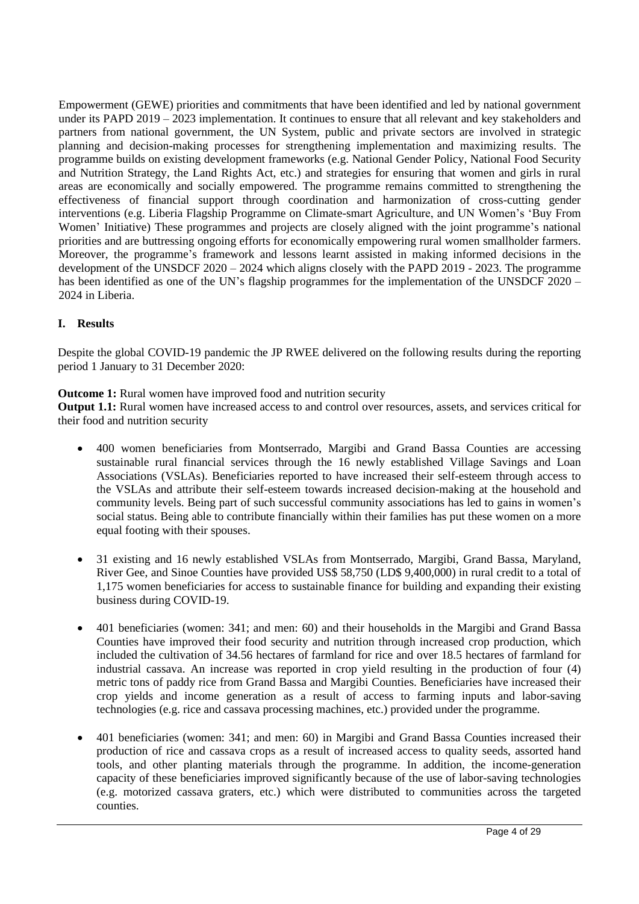Empowerment (GEWE) priorities and commitments that have been identified and led by national government under its PAPD 2019 – 2023 implementation. It continues to ensure that all relevant and key stakeholders and partners from national government, the UN System, public and private sectors are involved in strategic planning and decision-making processes for strengthening implementation and maximizing results. The programme builds on existing development frameworks (e.g. National Gender Policy, National Food Security and Nutrition Strategy, the Land Rights Act, etc.) and strategies for ensuring that women and girls in rural areas are economically and socially empowered. The programme remains committed to strengthening the effectiveness of financial support through coordination and harmonization of cross-cutting gender interventions (e.g. Liberia Flagship Programme on Climate-smart Agriculture, and UN Women's 'Buy From Women' Initiative) These programmes and projects are closely aligned with the joint programme's national priorities and are buttressing ongoing efforts for economically empowering rural women smallholder farmers. Moreover, the programme's framework and lessons learnt assisted in making informed decisions in the development of the UNSDCF 2020 – 2024 which aligns closely with the PAPD 2019 - 2023. The programme has been identified as one of the UN's flagship programmes for the implementation of the UNSDCF 2020 – 2024 in Liberia.

# **I. Results**

Despite the global COVID-19 pandemic the JP RWEE delivered on the following results during the reporting period 1 January to 31 December 2020:

## **Outcome 1:** Rural women have improved food and nutrition security

**Output 1.1:** Rural women have increased access to and control over resources, assets, and services critical for their food and nutrition security

- 400 women beneficiaries from Montserrado, Margibi and Grand Bassa Counties are accessing sustainable rural financial services through the 16 newly established Village Savings and Loan Associations (VSLAs). Beneficiaries reported to have increased their self-esteem through access to the VSLAs and attribute their self-esteem towards increased decision-making at the household and community levels. Being part of such successful community associations has led to gains in women's social status. Being able to contribute financially within their families has put these women on a more equal footing with their spouses.
- 31 existing and 16 newly established VSLAs from Montserrado, Margibi, Grand Bassa, Maryland, River Gee, and Sinoe Counties have provided US\$ 58,750 (LD\$ 9,400,000) in rural credit to a total of 1,175 women beneficiaries for access to sustainable finance for building and expanding their existing business during COVID-19.
- 401 beneficiaries (women: 341; and men: 60) and their households in the Margibi and Grand Bassa Counties have improved their food security and nutrition through increased crop production, which included the cultivation of 34.56 hectares of farmland for rice and over 18.5 hectares of farmland for industrial cassava. An increase was reported in crop yield resulting in the production of four (4) metric tons of paddy rice from Grand Bassa and Margibi Counties. Beneficiaries have increased their crop yields and income generation as a result of access to farming inputs and labor-saving technologies (e.g. rice and cassava processing machines, etc.) provided under the programme.
- 401 beneficiaries (women: 341; and men: 60) in Margibi and Grand Bassa Counties increased their production of rice and cassava crops as a result of increased access to quality seeds, assorted hand tools, and other planting materials through the programme. In addition, the income-generation capacity of these beneficiaries improved significantly because of the use of labor-saving technologies (e.g. motorized cassava graters, etc.) which were distributed to communities across the targeted counties.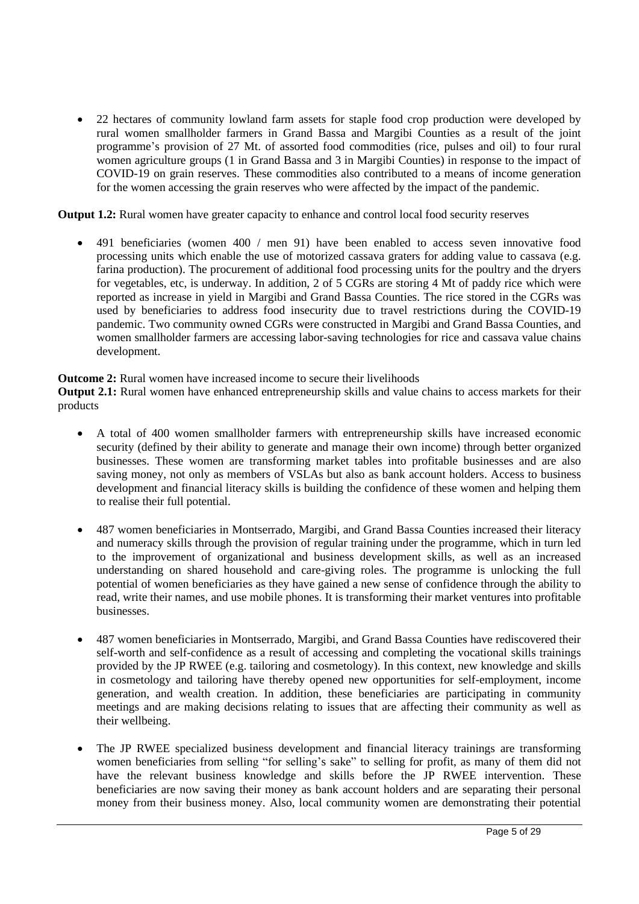• 22 hectares of community lowland farm assets for staple food crop production were developed by rural women smallholder farmers in Grand Bassa and Margibi Counties as a result of the joint programme's provision of 27 Mt. of assorted food commodities (rice, pulses and oil) to four rural women agriculture groups (1 in Grand Bassa and 3 in Margibi Counties) in response to the impact of COVID-19 on grain reserves. These commodities also contributed to a means of income generation for the women accessing the grain reserves who were affected by the impact of the pandemic.

**Output 1.2:** Rural women have greater capacity to enhance and control local food security reserves

• 491 beneficiaries (women 400 / men 91) have been enabled to access seven innovative food processing units which enable the use of motorized cassava graters for adding value to cassava (e.g. farina production). The procurement of additional food processing units for the poultry and the dryers for vegetables, etc, is underway. In addition, 2 of 5 CGRs are storing 4 Mt of paddy rice which were reported as increase in yield in Margibi and Grand Bassa Counties. The rice stored in the CGRs was used by beneficiaries to address food insecurity due to travel restrictions during the COVID-19 pandemic. Two community owned CGRs were constructed in Margibi and Grand Bassa Counties, and women smallholder farmers are accessing labor-saving technologies for rice and cassava value chains development.

**Outcome 2:** Rural women have increased income to secure their livelihoods

**Output 2.1:** Rural women have enhanced entrepreneurship skills and value chains to access markets for their products

- A total of 400 women smallholder farmers with entrepreneurship skills have increased economic security (defined by their ability to generate and manage their own income) through better organized businesses. These women are transforming market tables into profitable businesses and are also saving money, not only as members of VSLAs but also as bank account holders. Access to business development and financial literacy skills is building the confidence of these women and helping them to realise their full potential.
- 487 women beneficiaries in Montserrado, Margibi, and Grand Bassa Counties increased their literacy and numeracy skills through the provision of regular training under the programme, which in turn led to the improvement of organizational and business development skills, as well as an increased understanding on shared household and care-giving roles. The programme is unlocking the full potential of women beneficiaries as they have gained a new sense of confidence through the ability to read, write their names, and use mobile phones. It is transforming their market ventures into profitable businesses.
- 487 women beneficiaries in Montserrado, Margibi, and Grand Bassa Counties have rediscovered their self-worth and self-confidence as a result of accessing and completing the vocational skills trainings provided by the JP RWEE (e.g. tailoring and cosmetology). In this context, new knowledge and skills in cosmetology and tailoring have thereby opened new opportunities for self-employment, income generation, and wealth creation. In addition, these beneficiaries are participating in community meetings and are making decisions relating to issues that are affecting their community as well as their wellbeing.
- The JP RWEE specialized business development and financial literacy trainings are transforming women beneficiaries from selling "for selling's sake" to selling for profit, as many of them did not have the relevant business knowledge and skills before the JP RWEE intervention. These beneficiaries are now saving their money as bank account holders and are separating their personal money from their business money. Also, local community women are demonstrating their potential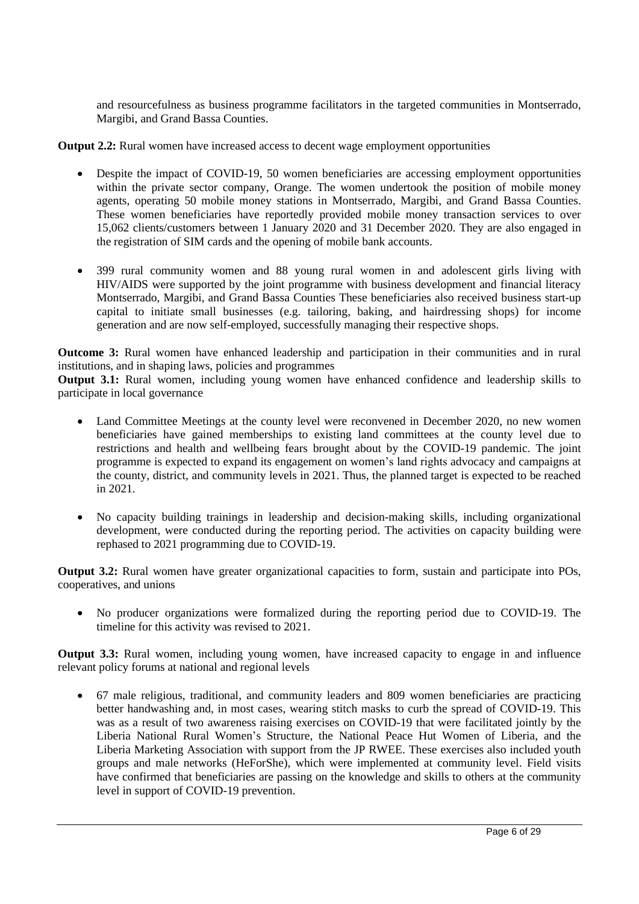and resourcefulness as business programme facilitators in the targeted communities in Montserrado, Margibi, and Grand Bassa Counties.

**Output 2.2:** Rural women have increased access to decent wage employment opportunities

- Despite the impact of COVID-19, 50 women beneficiaries are accessing employment opportunities within the private sector company, Orange. The women undertook the position of mobile money agents, operating 50 mobile money stations in Montserrado, Margibi, and Grand Bassa Counties. These women beneficiaries have reportedly provided mobile money transaction services to over 15,062 clients/customers between 1 January 2020 and 31 December 2020. They are also engaged in the registration of SIM cards and the opening of mobile bank accounts.
- 399 rural community women and 88 young rural women in and adolescent girls living with HIV/AIDS were supported by the joint programme with business development and financial literacy Montserrado, Margibi, and Grand Bassa Counties These beneficiaries also received business start-up capital to initiate small businesses (e.g. tailoring, baking, and hairdressing shops) for income generation and are now self-employed, successfully managing their respective shops.

**Outcome 3:** Rural women have enhanced leadership and participation in their communities and in rural institutions, and in shaping laws, policies and programmes

**Output 3.1:** Rural women, including young women have enhanced confidence and leadership skills to participate in local governance

- Land Committee Meetings at the county level were reconvened in December 2020, no new women beneficiaries have gained memberships to existing land committees at the county level due to restrictions and health and wellbeing fears brought about by the COVID-19 pandemic. The joint programme is expected to expand its engagement on women's land rights advocacy and campaigns at the county, district, and community levels in 2021. Thus, the planned target is expected to be reached in 2021.
- No capacity building trainings in leadership and decision-making skills, including organizational development, were conducted during the reporting period. The activities on capacity building were rephased to 2021 programming due to COVID-19.

**Output 3.2:** Rural women have greater organizational capacities to form, sustain and participate into POs, cooperatives, and unions

• No producer organizations were formalized during the reporting period due to COVID-19. The timeline for this activity was revised to 2021.

**Output 3.3:** Rural women, including young women, have increased capacity to engage in and influence relevant policy forums at national and regional levels

• 67 male religious, traditional, and community leaders and 809 women beneficiaries are practicing better handwashing and, in most cases, wearing stitch masks to curb the spread of COVID-19. This was as a result of two awareness raising exercises on COVID-19 that were facilitated jointly by the Liberia National Rural Women's Structure, the National Peace Hut Women of Liberia, and the Liberia Marketing Association with support from the JP RWEE. These exercises also included youth groups and male networks (HeForShe), which were implemented at community level. Field visits have confirmed that beneficiaries are passing on the knowledge and skills to others at the community level in support of COVID-19 prevention.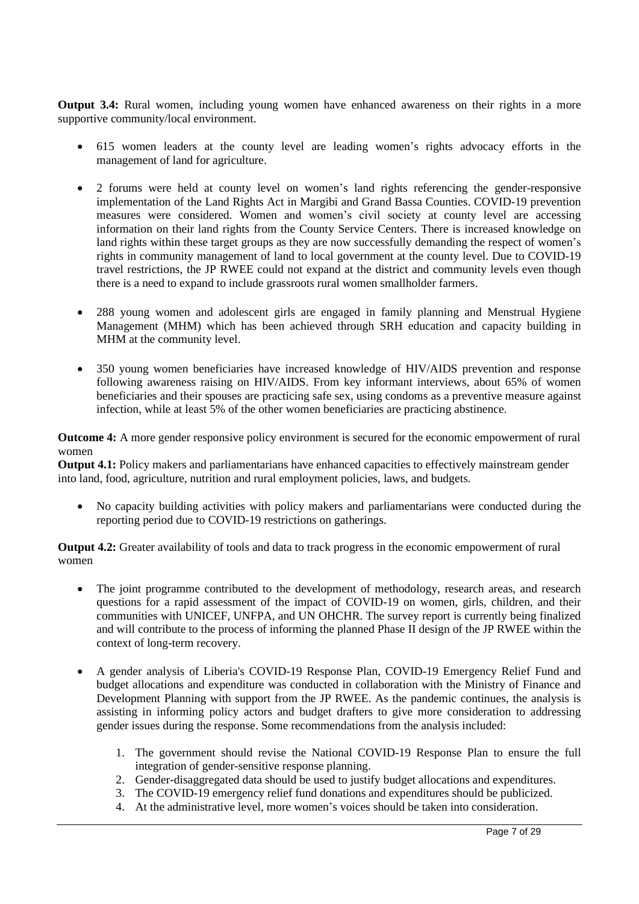**Output 3.4:** Rural women, including young women have enhanced awareness on their rights in a more supportive community/local environment.

- 615 women leaders at the county level are leading women's rights advocacy efforts in the management of land for agriculture.
- 2 forums were held at county level on women's land rights referencing the gender-responsive implementation of the Land Rights Act in Margibi and Grand Bassa Counties. COVID-19 prevention measures were considered. Women and women's civil society at county level are accessing information on their land rights from the County Service Centers. There is increased knowledge on land rights within these target groups as they are now successfully demanding the respect of women's rights in community management of land to local government at the county level. Due to COVID-19 travel restrictions, the JP RWEE could not expand at the district and community levels even though there is a need to expand to include grassroots rural women smallholder farmers.
- 288 young women and adolescent girls are engaged in family planning and Menstrual Hygiene Management (MHM) which has been achieved through SRH education and capacity building in MHM at the community level.
- 350 young women beneficiaries have increased knowledge of HIV/AIDS prevention and response following awareness raising on HIV/AIDS. From key informant interviews, about 65% of women beneficiaries and their spouses are practicing safe sex, using condoms as a preventive measure against infection, while at least 5% of the other women beneficiaries are practicing abstinence.

**Outcome 4:** A more gender responsive policy environment is secured for the economic empowerment of rural women

**Output 4.1:** Policy makers and parliamentarians have enhanced capacities to effectively mainstream gender into land, food, agriculture, nutrition and rural employment policies, laws, and budgets.

• No capacity building activities with policy makers and parliamentarians were conducted during the reporting period due to COVID-19 restrictions on gatherings.

**Output 4.2:** Greater availability of tools and data to track progress in the economic empowerment of rural women

- The joint programme contributed to the development of methodology, research areas, and research questions for a rapid assessment of the impact of COVID-19 on women, girls, children, and their communities with UNICEF, UNFPA, and UN OHCHR. The survey report is currently being finalized and will contribute to the process of informing the planned Phase II design of the JP RWEE within the context of long-term recovery.
- A gender analysis of Liberia's COVID-19 Response Plan, COVID-19 Emergency Relief Fund and budget allocations and expenditure was conducted in collaboration with the Ministry of Finance and Development Planning with support from the JP RWEE. As the pandemic continues, the analysis is assisting in informing policy actors and budget drafters to give more consideration to addressing gender issues during the response. Some recommendations from the analysis included:
	- 1. The government should revise the National COVID-19 Response Plan to ensure the full integration of gender-sensitive response planning.
	- 2. Gender-disaggregated data should be used to justify budget allocations and expenditures.
	- 3. The COVID-19 emergency relief fund donations and expenditures should be publicized.
	- 4. At the administrative level, more women's voices should be taken into consideration.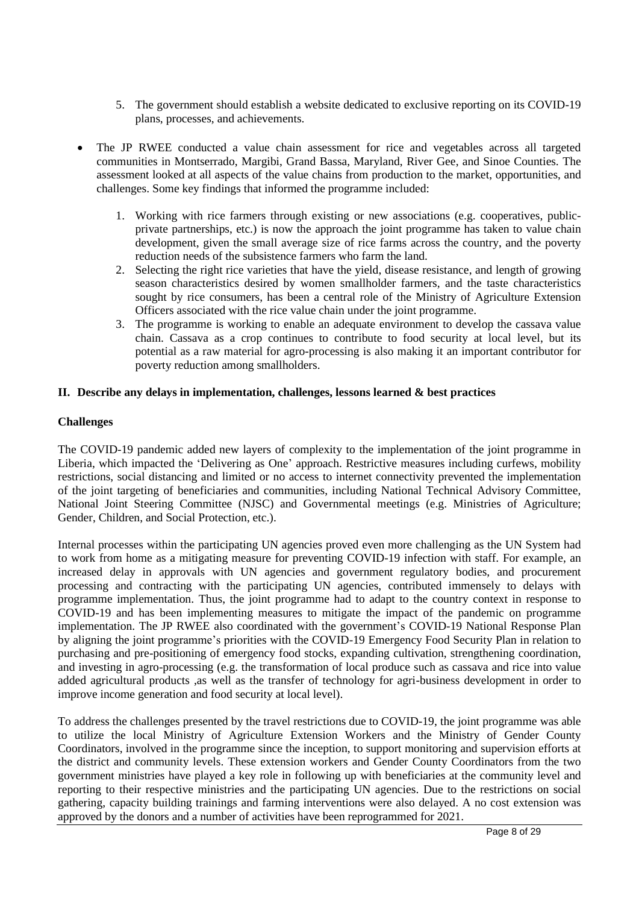- 5. The government should establish a website dedicated to exclusive reporting on its COVID-19 plans, processes, and achievements.
- The JP RWEE conducted a value chain assessment for rice and vegetables across all targeted communities in Montserrado, Margibi, Grand Bassa, Maryland, River Gee, and Sinoe Counties. The assessment looked at all aspects of the value chains from production to the market, opportunities, and challenges. Some key findings that informed the programme included:
	- 1. Working with rice farmers through existing or new associations (e.g. cooperatives, publicprivate partnerships, etc.) is now the approach the joint programme has taken to value chain development, given the small average size of rice farms across the country, and the poverty reduction needs of the subsistence farmers who farm the land.
	- 2. Selecting the right rice varieties that have the yield, disease resistance, and length of growing season characteristics desired by women smallholder farmers, and the taste characteristics sought by rice consumers, has been a central role of the Ministry of Agriculture Extension Officers associated with the rice value chain under the joint programme.
	- 3. The programme is working to enable an adequate environment to develop the cassava value chain. Cassava as a crop continues to contribute to food security at local level, but its potential as a raw material for agro-processing is also making it an important contributor for poverty reduction among smallholders.

## **II. Describe any delays in implementation, challenges, lessons learned & best practices**

## **Challenges**

The COVID-19 pandemic added new layers of complexity to the implementation of the joint programme in Liberia, which impacted the 'Delivering as One' approach. Restrictive measures including curfews, mobility restrictions, social distancing and limited or no access to internet connectivity prevented the implementation of the joint targeting of beneficiaries and communities, including National Technical Advisory Committee, National Joint Steering Committee (NJSC) and Governmental meetings (e.g. Ministries of Agriculture; Gender, Children, and Social Protection, etc.).

Internal processes within the participating UN agencies proved even more challenging as the UN System had to work from home as a mitigating measure for preventing COVID-19 infection with staff. For example, an increased delay in approvals with UN agencies and government regulatory bodies, and procurement processing and contracting with the participating UN agencies, contributed immensely to delays with programme implementation. Thus, the joint programme had to adapt to the country context in response to COVID-19 and has been implementing measures to mitigate the impact of the pandemic on programme implementation. The JP RWEE also coordinated with the government's COVID-19 National Response Plan by aligning the joint programme's priorities with the COVID-19 Emergency Food Security Plan in relation to purchasing and pre-positioning of emergency food stocks, expanding cultivation, strengthening coordination, and investing in agro-processing (e.g. the transformation of local produce such as cassava and rice into value added agricultural products ,as well as the transfer of technology for agri-business development in order to improve income generation and food security at local level).

To address the challenges presented by the travel restrictions due to COVID-19, the joint programme was able to utilize the local Ministry of Agriculture Extension Workers and the Ministry of Gender County Coordinators, involved in the programme since the inception, to support monitoring and supervision efforts at the district and community levels. These extension workers and Gender County Coordinators from the two government ministries have played a key role in following up with beneficiaries at the community level and reporting to their respective ministries and the participating UN agencies. Due to the restrictions on social gathering, capacity building trainings and farming interventions were also delayed. A no cost extension was approved by the donors and a number of activities have been reprogrammed for 2021.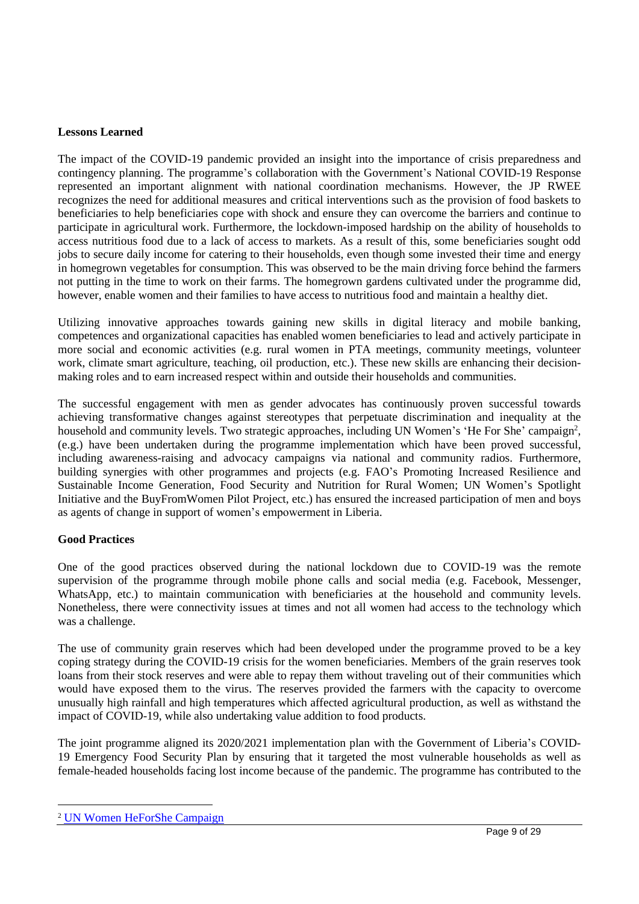#### **Lessons Learned**

The impact of the COVID-19 pandemic provided an insight into the importance of crisis preparedness and contingency planning. The programme's collaboration with the Government's National COVID-19 Response represented an important alignment with national coordination mechanisms. However, the JP RWEE recognizes the need for additional measures and critical interventions such as the provision of food baskets to beneficiaries to help beneficiaries cope with shock and ensure they can overcome the barriers and continue to participate in agricultural work. Furthermore, the lockdown-imposed hardship on the ability of households to access nutritious food due to a lack of access to markets. As a result of this, some beneficiaries sought odd jobs to secure daily income for catering to their households, even though some invested their time and energy in homegrown vegetables for consumption. This was observed to be the main driving force behind the farmers not putting in the time to work on their farms. The homegrown gardens cultivated under the programme did, however, enable women and their families to have access to nutritious food and maintain a healthy diet.

Utilizing innovative approaches towards gaining new skills in digital literacy and mobile banking, competences and organizational capacities has enabled women beneficiaries to lead and actively participate in more social and economic activities (e.g. rural women in PTA meetings, community meetings, volunteer work, climate smart agriculture, teaching, oil production, etc.). These new skills are enhancing their decisionmaking roles and to earn increased respect within and outside their households and communities.

The successful engagement with men as gender advocates has continuously proven successful towards achieving transformative changes against stereotypes that perpetuate discrimination and inequality at the household and community levels. Two strategic approaches, including UN Women's 'He For She' campaign<sup>2</sup>, (e.g.) have been undertaken during the programme implementation which have been proved successful, including awareness-raising and advocacy campaigns via national and community radios. Furthermore, building synergies with other programmes and projects (e.g. FAO's Promoting Increased Resilience and Sustainable Income Generation, Food Security and Nutrition for Rural Women; UN Women's Spotlight Initiative and the BuyFromWomen Pilot Project, etc.) has ensured the increased participation of men and boys as agents of change in support of women's empowerment in Liberia.

## **Good Practices**

One of the good practices observed during the national lockdown due to COVID-19 was the remote supervision of the programme through mobile phone calls and social media (e.g. Facebook, Messenger, WhatsApp, etc.) to maintain communication with beneficiaries at the household and community levels. Nonetheless, there were connectivity issues at times and not all women had access to the technology which was a challenge.

The use of community grain reserves which had been developed under the programme proved to be a key coping strategy during the COVID-19 crisis for the women beneficiaries. Members of the grain reserves took loans from their stock reserves and were able to repay them without traveling out of their communities which would have exposed them to the virus. The reserves provided the farmers with the capacity to overcome unusually high rainfall and high temperatures which affected agricultural production, as well as withstand the impact of COVID-19, while also undertaking value addition to food products.

The joint programme aligned its 2020/2021 implementation plan with the Government of Liberia's COVID-19 Emergency Food Security Plan by ensuring that it targeted the most vulnerable households as well as female-headed households facing lost income because of the pandemic. The programme has contributed to the

<sup>2</sup> [UN Women HeForShe](https://www.heforshe.org/en) Campaign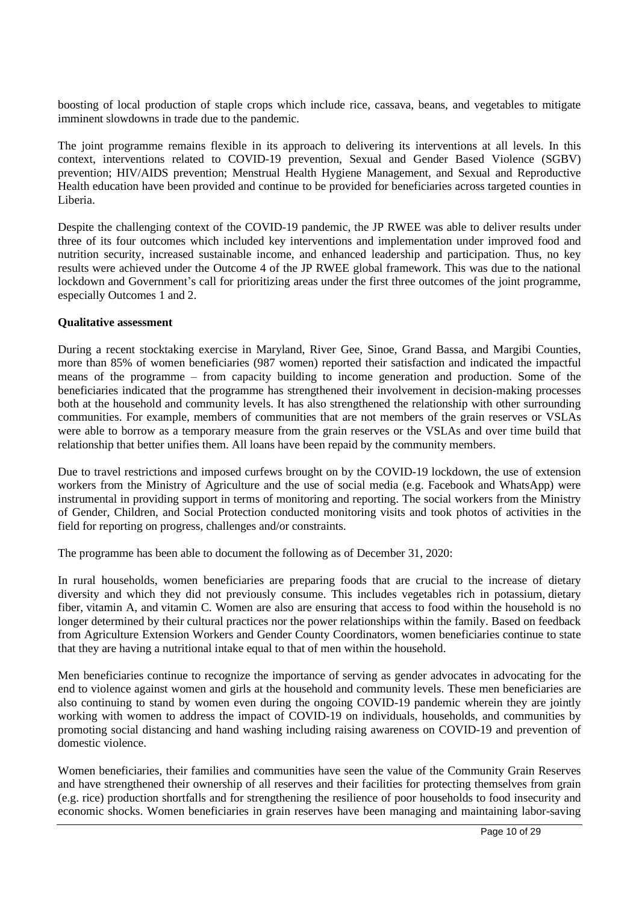boosting of local production of staple crops which include rice, cassava, beans, and vegetables to mitigate imminent slowdowns in trade due to the pandemic.

The joint programme remains flexible in its approach to delivering its interventions at all levels. In this context, interventions related to COVID-19 prevention, Sexual and Gender Based Violence (SGBV) prevention; HIV/AIDS prevention; Menstrual Health Hygiene Management, and Sexual and Reproductive Health education have been provided and continue to be provided for beneficiaries across targeted counties in Liberia.

Despite the challenging context of the COVID-19 pandemic, the JP RWEE was able to deliver results under three of its four outcomes which included key interventions and implementation under improved food and nutrition security, increased sustainable income, and enhanced leadership and participation. Thus, no key results were achieved under the Outcome 4 of the JP RWEE global framework. This was due to the national lockdown and Government's call for prioritizing areas under the first three outcomes of the joint programme, especially Outcomes 1 and 2.

#### **Qualitative assessment**

During a recent stocktaking exercise in Maryland, River Gee, Sinoe, Grand Bassa, and Margibi Counties, more than 85% of women beneficiaries (987 women) reported their satisfaction and indicated the impactful means of the programme – from capacity building to income generation and production. Some of the beneficiaries indicated that the programme has strengthened their involvement in decision-making processes both at the household and community levels. It has also strengthened the relationship with other surrounding communities. For example, members of communities that are not members of the grain reserves or VSLAs were able to borrow as a temporary measure from the grain reserves or the VSLAs and over time build that relationship that better unifies them. All loans have been repaid by the community members.

Due to travel restrictions and imposed curfews brought on by the COVID-19 lockdown, the use of extension workers from the Ministry of Agriculture and the use of social media (e.g. Facebook and WhatsApp) were instrumental in providing support in terms of monitoring and reporting. The social workers from the Ministry of Gender, Children, and Social Protection conducted monitoring visits and took photos of activities in the field for reporting on progress, challenges and/or constraints.

The programme has been able to document the following as of December 31, 2020:

In rural households, women beneficiaries are preparing foods that are crucial to the increase of dietary diversity and which they did not previously consume. This includes vegetables rich in potassium, dietary fiber, vitamin A, and vitamin C. Women are also are ensuring that access to food within the household is no longer determined by their cultural practices nor the power relationships within the family. Based on feedback from Agriculture Extension Workers and Gender County Coordinators, women beneficiaries continue to state that they are having a nutritional intake equal to that of men within the household.

Men beneficiaries continue to recognize the importance of serving as gender advocates in advocating for the end to violence against women and girls at the household and community levels. These men beneficiaries are also continuing to stand by women even during the ongoing COVID-19 pandemic wherein they are jointly working with women to address the impact of COVID-19 on individuals, households, and communities by promoting social distancing and hand washing including raising awareness on COVID-19 and prevention of domestic violence.

Women beneficiaries, their families and communities have seen the value of the Community Grain Reserves and have strengthened their ownership of all reserves and their facilities for protecting themselves from grain (e.g. rice) production shortfalls and for strengthening the resilience of poor households to food insecurity and economic shocks. Women beneficiaries in grain reserves have been managing and maintaining labor-saving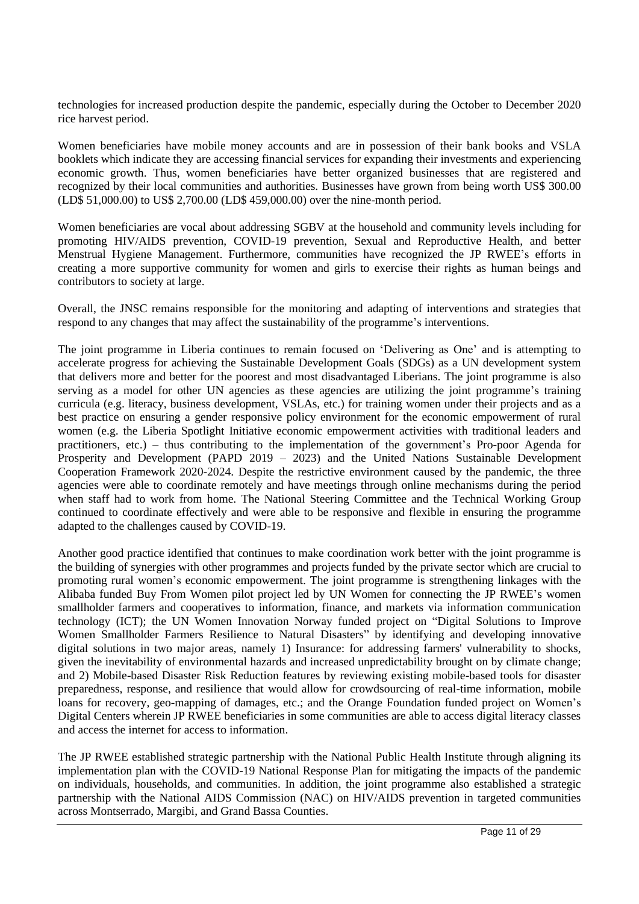technologies for increased production despite the pandemic, especially during the October to December 2020 rice harvest period.

Women beneficiaries have mobile money accounts and are in possession of their bank books and VSLA booklets which indicate they are accessing financial services for expanding their investments and experiencing economic growth. Thus, women beneficiaries have better organized businesses that are registered and recognized by their local communities and authorities. Businesses have grown from being worth US\$ 300.00 (LD\$ 51,000.00) to US\$ 2,700.00 (LD\$ 459,000.00) over the nine-month period.

Women beneficiaries are vocal about addressing SGBV at the household and community levels including for promoting HIV/AIDS prevention, COVID-19 prevention, Sexual and Reproductive Health, and better Menstrual Hygiene Management. Furthermore, communities have recognized the JP RWEE's efforts in creating a more supportive community for women and girls to exercise their rights as human beings and contributors to society at large.

Overall, the JNSC remains responsible for the monitoring and adapting of interventions and strategies that respond to any changes that may affect the sustainability of the programme's interventions.

The joint programme in Liberia continues to remain focused on 'Delivering as One' and is attempting to accelerate progress for achieving the Sustainable Development Goals (SDGs) as a UN development system that delivers more and better for the poorest and most disadvantaged Liberians. The joint programme is also serving as a model for other UN agencies as these agencies are utilizing the joint programme's training curricula (e.g. literacy, business development, VSLAs, etc.) for training women under their projects and as a best practice on ensuring a gender responsive policy environment for the economic empowerment of rural women (e.g. the Liberia Spotlight Initiative economic empowerment activities with traditional leaders and practitioners, etc.) – thus contributing to the implementation of the government's Pro-poor Agenda for Prosperity and Development (PAPD 2019 – 2023) and the United Nations Sustainable Development Cooperation Framework 2020-2024. Despite the restrictive environment caused by the pandemic, the three agencies were able to coordinate remotely and have meetings through online mechanisms during the period when staff had to work from home. The National Steering Committee and the Technical Working Group continued to coordinate effectively and were able to be responsive and flexible in ensuring the programme adapted to the challenges caused by COVID-19.

Another good practice identified that continues to make coordination work better with the joint programme is the building of synergies with other programmes and projects funded by the private sector which are crucial to promoting rural women's economic empowerment. The joint programme is strengthening linkages with the Alibaba funded Buy From Women pilot project led by UN Women for connecting the JP RWEE's women smallholder farmers and cooperatives to information, finance, and markets via information communication technology (ICT); the UN Women Innovation Norway funded project on "Digital Solutions to Improve Women Smallholder Farmers Resilience to Natural Disasters" by identifying and developing innovative digital solutions in two major areas, namely 1) Insurance: for addressing farmers' vulnerability to shocks, given the inevitability of environmental hazards and increased unpredictability brought on by climate change; and 2) Mobile-based Disaster Risk Reduction features by reviewing existing mobile-based tools for disaster preparedness, response, and resilience that would allow for crowdsourcing of real-time information, mobile loans for recovery, geo-mapping of damages, etc.; and the Orange Foundation funded project on Women's Digital Centers wherein JP RWEE beneficiaries in some communities are able to access digital literacy classes and access the internet for access to information.

The JP RWEE established strategic partnership with the National Public Health Institute through aligning its implementation plan with the COVID-19 National Response Plan for mitigating the impacts of the pandemic on individuals, households, and communities. In addition, the joint programme also established a strategic partnership with the National AIDS Commission (NAC) on HIV/AIDS prevention in targeted communities across Montserrado, Margibi, and Grand Bassa Counties.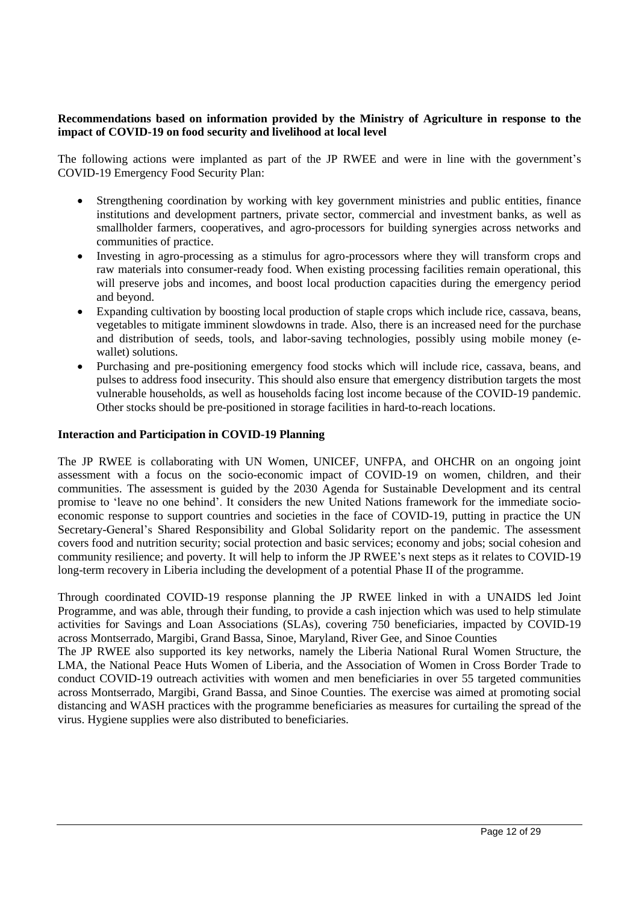#### **Recommendations based on information provided by the Ministry of Agriculture in response to the impact of COVID-19 on food security and livelihood at local level**

The following actions were implanted as part of the JP RWEE and were in line with the government's COVID-19 Emergency Food Security Plan:

- Strengthening coordination by working with key government ministries and public entities, finance institutions and development partners, private sector, commercial and investment banks, as well as smallholder farmers, cooperatives, and agro-processors for building synergies across networks and communities of practice.
- Investing in agro-processing as a stimulus for agro-processors where they will transform crops and raw materials into consumer-ready food. When existing processing facilities remain operational, this will preserve jobs and incomes, and boost local production capacities during the emergency period and beyond.
- Expanding cultivation by boosting local production of staple crops which include rice, cassava, beans, vegetables to mitigate imminent slowdowns in trade. Also, there is an increased need for the purchase and distribution of seeds, tools, and labor-saving technologies, possibly using mobile money (ewallet) solutions.
- Purchasing and pre-positioning emergency food stocks which will include rice, cassava, beans, and pulses to address food insecurity. This should also ensure that emergency distribution targets the most vulnerable households, as well as households facing lost income because of the COVID-19 pandemic. Other stocks should be pre-positioned in storage facilities in hard-to-reach locations.

#### **Interaction and Participation in COVID-19 Planning**

The JP RWEE is collaborating with UN Women, UNICEF, UNFPA, and OHCHR on an ongoing joint assessment with a focus on the socio-economic impact of COVID-19 on women, children, and their communities. The assessment is guided by the 2030 Agenda for Sustainable Development and its central promise to 'leave no one behind'. It considers the new United Nations framework for the immediate socioeconomic response to support countries and societies in the face of COVID-19, putting in practice the UN Secretary-General's Shared Responsibility and Global Solidarity report on the pandemic. The assessment covers food and nutrition security; social protection and basic services; economy and jobs; social cohesion and community resilience; and poverty. It will help to inform the JP RWEE's next steps as it relates to COVID-19 long-term recovery in Liberia including the development of a potential Phase II of the programme.

Through coordinated COVID-19 response planning the JP RWEE linked in with a UNAIDS led Joint Programme, and was able, through their funding, to provide a cash injection which was used to help stimulate activities for Savings and Loan Associations (SLAs), covering 750 beneficiaries, impacted by COVID-19 across Montserrado, Margibi, Grand Bassa, Sinoe, Maryland, River Gee, and Sinoe Counties

The JP RWEE also supported its key networks, namely the Liberia National Rural Women Structure, the LMA, the National Peace Huts Women of Liberia, and the Association of Women in Cross Border Trade to conduct COVID-19 outreach activities with women and men beneficiaries in over 55 targeted communities across Montserrado, Margibi, Grand Bassa, and Sinoe Counties. The exercise was aimed at promoting social distancing and WASH practices with the programme beneficiaries as measures for curtailing the spread of the virus. Hygiene supplies were also distributed to beneficiaries.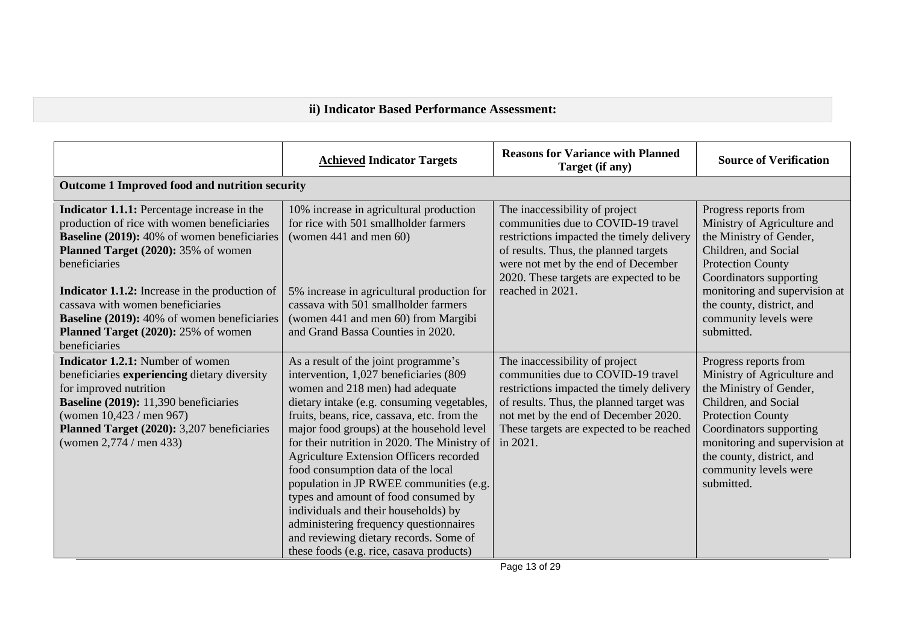# **ii) Indicator Based Performance Assessment:**

|                                                                                                                                                                                                                                                                                                                                                                                             | <b>Achieved Indicator Targets</b>                                                                                                                                                                                                                                                                                                                                                                                                                                               | <b>Reasons for Variance with Planned</b><br>Target (if any)                                                                                                                                                                                                     | <b>Source of Verification</b>                                                                                                                                                                                                                                       |
|---------------------------------------------------------------------------------------------------------------------------------------------------------------------------------------------------------------------------------------------------------------------------------------------------------------------------------------------------------------------------------------------|---------------------------------------------------------------------------------------------------------------------------------------------------------------------------------------------------------------------------------------------------------------------------------------------------------------------------------------------------------------------------------------------------------------------------------------------------------------------------------|-----------------------------------------------------------------------------------------------------------------------------------------------------------------------------------------------------------------------------------------------------------------|---------------------------------------------------------------------------------------------------------------------------------------------------------------------------------------------------------------------------------------------------------------------|
| Outcome 1 Improved food and nutrition security                                                                                                                                                                                                                                                                                                                                              |                                                                                                                                                                                                                                                                                                                                                                                                                                                                                 |                                                                                                                                                                                                                                                                 |                                                                                                                                                                                                                                                                     |
| Indicator 1.1.1: Percentage increase in the<br>production of rice with women beneficiaries<br>Baseline (2019): 40% of women beneficiaries<br>Planned Target (2020): 35% of women<br>beneficiaries<br><b>Indicator 1.1.2:</b> Increase in the production of<br>cassava with women beneficiaries<br><b>Baseline (2019):</b> 40% of women beneficiaries<br>Planned Target (2020): 25% of women | 10% increase in agricultural production<br>for rice with 501 smallholder farmers<br>(women 441 and men 60)<br>5% increase in agricultural production for<br>cassava with 501 smallholder farmers<br>(women 441 and men 60) from Margibi<br>and Grand Bassa Counties in 2020.                                                                                                                                                                                                    | The inaccessibility of project<br>communities due to COVID-19 travel<br>restrictions impacted the timely delivery<br>of results. Thus, the planned targets<br>were not met by the end of December<br>2020. These targets are expected to be<br>reached in 2021. | Progress reports from<br>Ministry of Agriculture and<br>the Ministry of Gender,<br>Children, and Social<br><b>Protection County</b><br>Coordinators supporting<br>monitoring and supervision at<br>the county, district, and<br>community levels were<br>submitted. |
| beneficiaries<br><b>Indicator 1.2.1:</b> Number of women                                                                                                                                                                                                                                                                                                                                    | As a result of the joint programme's                                                                                                                                                                                                                                                                                                                                                                                                                                            | The inaccessibility of project                                                                                                                                                                                                                                  | Progress reports from                                                                                                                                                                                                                                               |
| beneficiaries experiencing dietary diversity<br>for improved nutrition<br>Baseline (2019): 11,390 beneficiaries<br>(women $10,423$ / men 967)<br>Planned Target (2020): 3,207 beneficiaries<br>(women 2,774 / men 433)                                                                                                                                                                      | intervention, 1,027 beneficiaries (809<br>women and 218 men) had adequate<br>dietary intake (e.g. consuming vegetables,<br>fruits, beans, rice, cassava, etc. from the<br>major food groups) at the household level<br>for their nutrition in 2020. The Ministry of<br>Agriculture Extension Officers recorded<br>food consumption data of the local<br>population in JP RWEE communities (e.g.<br>types and amount of food consumed by<br>individuals and their households) by | communities due to COVID-19 travel<br>restrictions impacted the timely delivery<br>of results. Thus, the planned target was<br>not met by the end of December 2020.<br>These targets are expected to be reached<br>in 2021.                                     | Ministry of Agriculture and<br>the Ministry of Gender,<br>Children, and Social<br><b>Protection County</b><br>Coordinators supporting<br>monitoring and supervision at<br>the county, district, and<br>community levels were<br>submitted.                          |
|                                                                                                                                                                                                                                                                                                                                                                                             | administering frequency questionnaires<br>and reviewing dietary records. Some of<br>these foods (e.g. rice, casava products)                                                                                                                                                                                                                                                                                                                                                    |                                                                                                                                                                                                                                                                 |                                                                                                                                                                                                                                                                     |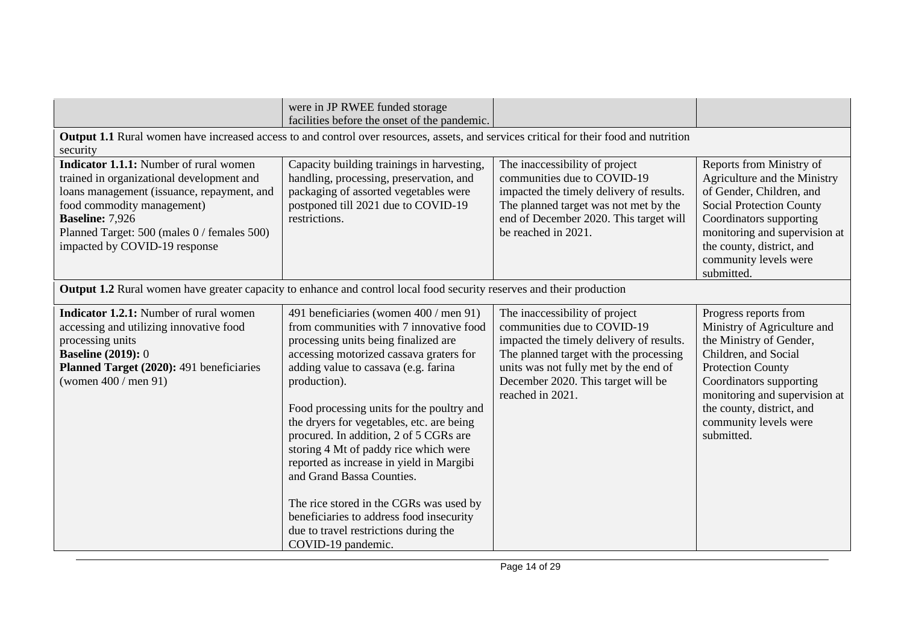|                                                                                                                                                                                                                                                                                  | were in JP RWEE funded storage                                                                                                                                                                                                                                                                                                                                                                                                                                                                                                                                                                                                           |                                                                                                                                                                                                                                                        |                                                                                                                                                                                                                                                                     |  |
|----------------------------------------------------------------------------------------------------------------------------------------------------------------------------------------------------------------------------------------------------------------------------------|------------------------------------------------------------------------------------------------------------------------------------------------------------------------------------------------------------------------------------------------------------------------------------------------------------------------------------------------------------------------------------------------------------------------------------------------------------------------------------------------------------------------------------------------------------------------------------------------------------------------------------------|--------------------------------------------------------------------------------------------------------------------------------------------------------------------------------------------------------------------------------------------------------|---------------------------------------------------------------------------------------------------------------------------------------------------------------------------------------------------------------------------------------------------------------------|--|
|                                                                                                                                                                                                                                                                                  | facilities before the onset of the pandemic.                                                                                                                                                                                                                                                                                                                                                                                                                                                                                                                                                                                             |                                                                                                                                                                                                                                                        |                                                                                                                                                                                                                                                                     |  |
| security                                                                                                                                                                                                                                                                         | <b>Output 1.1</b> Rural women have increased access to and control over resources, assets, and services critical for their food and nutrition                                                                                                                                                                                                                                                                                                                                                                                                                                                                                            |                                                                                                                                                                                                                                                        |                                                                                                                                                                                                                                                                     |  |
| <b>Indicator 1.1.1:</b> Number of rural women<br>trained in organizational development and<br>loans management (issuance, repayment, and<br>food commodity management)<br><b>Baseline: 7,926</b><br>Planned Target: 500 (males 0 / females 500)<br>impacted by COVID-19 response | Capacity building trainings in harvesting,<br>handling, processing, preservation, and<br>packaging of assorted vegetables were<br>postponed till 2021 due to COVID-19<br>restrictions.                                                                                                                                                                                                                                                                                                                                                                                                                                                   | The inaccessibility of project<br>communities due to COVID-19<br>impacted the timely delivery of results.<br>The planned target was not met by the<br>end of December 2020. This target will<br>be reached in 2021.                                    | Reports from Ministry of<br>Agriculture and the Ministry<br>of Gender, Children, and<br><b>Social Protection County</b><br>Coordinators supporting<br>monitoring and supervision at<br>the county, district, and<br>community levels were<br>submitted.             |  |
| <b>Output 1.2</b> Rural women have greater capacity to enhance and control local food security reserves and their production                                                                                                                                                     |                                                                                                                                                                                                                                                                                                                                                                                                                                                                                                                                                                                                                                          |                                                                                                                                                                                                                                                        |                                                                                                                                                                                                                                                                     |  |
| Indicator 1.2.1: Number of rural women<br>accessing and utilizing innovative food<br>processing units<br><b>Baseline (2019): 0</b><br>Planned Target (2020): 491 beneficiaries<br>(women $400 /$ men $91$ )                                                                      | 491 beneficiaries (women 400 / men 91)<br>from communities with 7 innovative food<br>processing units being finalized are<br>accessing motorized cassava graters for<br>adding value to cassava (e.g. farina<br>production).<br>Food processing units for the poultry and<br>the dryers for vegetables, etc. are being<br>procured. In addition, 2 of 5 CGRs are<br>storing 4 Mt of paddy rice which were<br>reported as increase in yield in Margibi<br>and Grand Bassa Counties.<br>The rice stored in the CGRs was used by<br>beneficiaries to address food insecurity<br>due to travel restrictions during the<br>COVID-19 pandemic. | The inaccessibility of project<br>communities due to COVID-19<br>impacted the timely delivery of results.<br>The planned target with the processing<br>units was not fully met by the end of<br>December 2020. This target will be<br>reached in 2021. | Progress reports from<br>Ministry of Agriculture and<br>the Ministry of Gender,<br>Children, and Social<br><b>Protection County</b><br>Coordinators supporting<br>monitoring and supervision at<br>the county, district, and<br>community levels were<br>submitted. |  |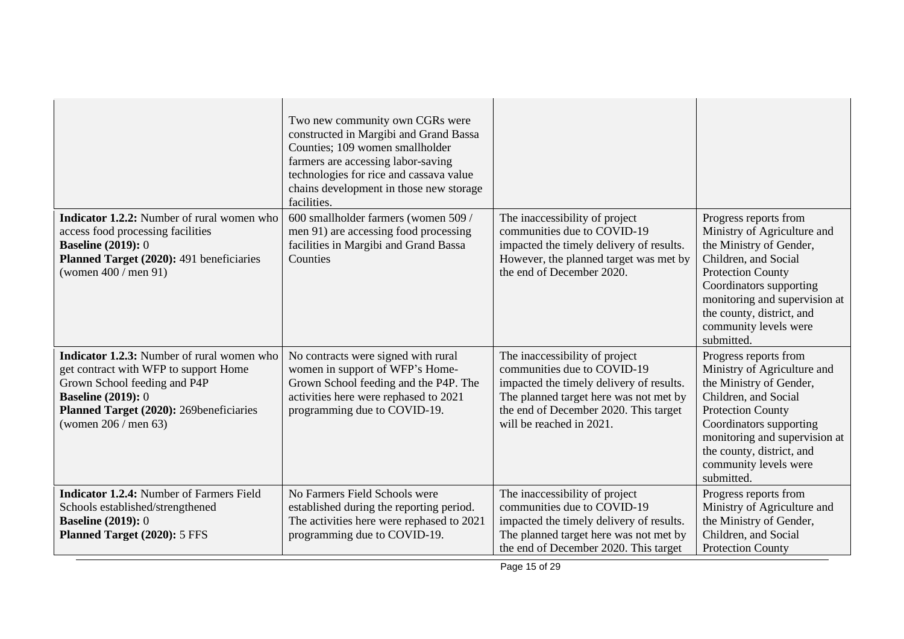|                                                                                                                                                                                                                              | Two new community own CGRs were<br>constructed in Margibi and Grand Bassa<br>Counties; 109 women smallholder<br>farmers are accessing labor-saving<br>technologies for rice and cassava value<br>chains development in those new storage<br>facilities. |                                                                                                                                                                                                                          |                                                                                                                                                                                                                                                                     |
|------------------------------------------------------------------------------------------------------------------------------------------------------------------------------------------------------------------------------|---------------------------------------------------------------------------------------------------------------------------------------------------------------------------------------------------------------------------------------------------------|--------------------------------------------------------------------------------------------------------------------------------------------------------------------------------------------------------------------------|---------------------------------------------------------------------------------------------------------------------------------------------------------------------------------------------------------------------------------------------------------------------|
| <b>Indicator 1.2.2:</b> Number of rural women who<br>access food processing facilities<br><b>Baseline (2019): 0</b><br>Planned Target (2020): 491 beneficiaries<br>(women $400 /$ men $91$ )                                 | 600 smallholder farmers (women 509 /<br>men 91) are accessing food processing<br>facilities in Margibi and Grand Bassa<br>Counties                                                                                                                      | The inaccessibility of project<br>communities due to COVID-19<br>impacted the timely delivery of results.<br>However, the planned target was met by<br>the end of December 2020.                                         | Progress reports from<br>Ministry of Agriculture and<br>the Ministry of Gender,<br>Children, and Social<br><b>Protection County</b><br>Coordinators supporting<br>monitoring and supervision at<br>the county, district, and<br>community levels were<br>submitted. |
| <b>Indicator 1.2.3:</b> Number of rural women who<br>get contract with WFP to support Home<br>Grown School feeding and P4P<br><b>Baseline (2019): 0</b><br>Planned Target (2020): 269beneficiaries<br>(women $206 /$ men 63) | No contracts were signed with rural<br>women in support of WFP's Home-<br>Grown School feeding and the P4P. The<br>activities here were rephased to 2021<br>programming due to COVID-19.                                                                | The inaccessibility of project<br>communities due to COVID-19<br>impacted the timely delivery of results.<br>The planned target here was not met by<br>the end of December 2020. This target<br>will be reached in 2021. | Progress reports from<br>Ministry of Agriculture and<br>the Ministry of Gender,<br>Children, and Social<br><b>Protection County</b><br>Coordinators supporting<br>monitoring and supervision at<br>the county, district, and<br>community levels were<br>submitted. |
| <b>Indicator 1.2.4:</b> Number of Farmers Field<br>Schools established/strengthened<br><b>Baseline (2019): 0</b><br>Planned Target (2020): 5 FFS                                                                             | No Farmers Field Schools were<br>established during the reporting period.<br>The activities here were rephased to 2021<br>programming due to COVID-19.                                                                                                  | The inaccessibility of project<br>communities due to COVID-19<br>impacted the timely delivery of results.<br>The planned target here was not met by<br>the end of December 2020. This target                             | Progress reports from<br>Ministry of Agriculture and<br>the Ministry of Gender,<br>Children, and Social<br><b>Protection County</b>                                                                                                                                 |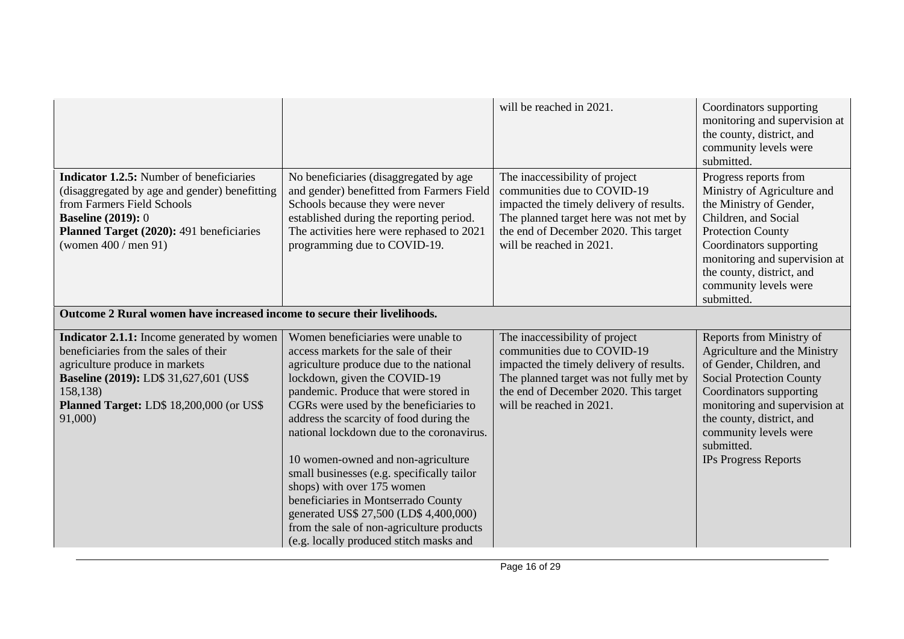|                                                                                                                                                                                                                                      |                                                                                                                                                                                                                                                                                                                                                                                                                                                                                                                                                                                                                             | will be reached in 2021.                                                                                                                                                                                                  | Coordinators supporting<br>monitoring and supervision at<br>the county, district, and<br>community levels were<br>submitted.                                                                                                                                                           |
|--------------------------------------------------------------------------------------------------------------------------------------------------------------------------------------------------------------------------------------|-----------------------------------------------------------------------------------------------------------------------------------------------------------------------------------------------------------------------------------------------------------------------------------------------------------------------------------------------------------------------------------------------------------------------------------------------------------------------------------------------------------------------------------------------------------------------------------------------------------------------------|---------------------------------------------------------------------------------------------------------------------------------------------------------------------------------------------------------------------------|----------------------------------------------------------------------------------------------------------------------------------------------------------------------------------------------------------------------------------------------------------------------------------------|
| <b>Indicator 1.2.5:</b> Number of beneficiaries<br>(disaggregated by age and gender) benefitting<br>from Farmers Field Schools<br><b>Baseline (2019): 0</b><br>Planned Target (2020): 491 beneficiaries<br>(women $400 /$ men $91$ ) | No beneficiaries (disaggregated by age<br>and gender) benefitted from Farmers Field<br>Schools because they were never<br>established during the reporting period.<br>The activities here were rephased to 2021<br>programming due to COVID-19.                                                                                                                                                                                                                                                                                                                                                                             | The inaccessibility of project<br>communities due to COVID-19<br>impacted the timely delivery of results.<br>The planned target here was not met by<br>the end of December 2020. This target<br>will be reached in 2021.  | Progress reports from<br>Ministry of Agriculture and<br>the Ministry of Gender,<br>Children, and Social<br><b>Protection County</b><br>Coordinators supporting<br>monitoring and supervision at<br>the county, district, and<br>community levels were<br>submitted.                    |
| Outcome 2 Rural women have increased income to secure their livelihoods.                                                                                                                                                             |                                                                                                                                                                                                                                                                                                                                                                                                                                                                                                                                                                                                                             |                                                                                                                                                                                                                           |                                                                                                                                                                                                                                                                                        |
| Indicator 2.1.1: Income generated by women<br>beneficiaries from the sales of their<br>agriculture produce in markets<br>Baseline (2019): LD\$ 31,627,601 (US\$<br>158,138)<br>Planned Target: LD\$ 18,200,000 (or US\$<br>91,000)   | Women beneficiaries were unable to<br>access markets for the sale of their<br>agriculture produce due to the national<br>lockdown, given the COVID-19<br>pandemic. Produce that were stored in<br>CGRs were used by the beneficiaries to<br>address the scarcity of food during the<br>national lockdown due to the coronavirus.<br>10 women-owned and non-agriculture<br>small businesses (e.g. specifically tailor<br>shops) with over 175 women<br>beneficiaries in Montserrado County<br>generated US\$ 27,500 (LD\$ 4,400,000)<br>from the sale of non-agriculture products<br>(e.g. locally produced stitch masks and | The inaccessibility of project<br>communities due to COVID-19<br>impacted the timely delivery of results.<br>The planned target was not fully met by<br>the end of December 2020. This target<br>will be reached in 2021. | Reports from Ministry of<br>Agriculture and the Ministry<br>of Gender, Children, and<br><b>Social Protection County</b><br>Coordinators supporting<br>monitoring and supervision at<br>the county, district, and<br>community levels were<br>submitted.<br><b>IPs Progress Reports</b> |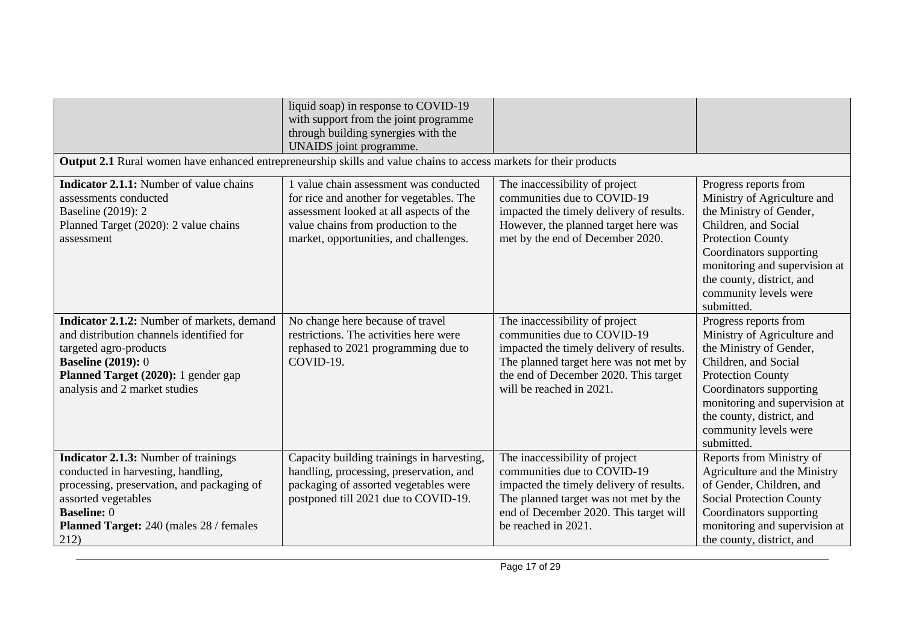|                                                                                                                                                                                                                                 | liquid soap) in response to COVID-19<br>with support from the joint programme<br>through building synergies with the<br>UNAIDS joint programme.                                                                |                                                                                                                                                                                                                          |                                                                                                                                                                                                                                                                     |
|---------------------------------------------------------------------------------------------------------------------------------------------------------------------------------------------------------------------------------|----------------------------------------------------------------------------------------------------------------------------------------------------------------------------------------------------------------|--------------------------------------------------------------------------------------------------------------------------------------------------------------------------------------------------------------------------|---------------------------------------------------------------------------------------------------------------------------------------------------------------------------------------------------------------------------------------------------------------------|
| Output 2.1 Rural women have enhanced entrepreneurship skills and value chains to access markets for their products                                                                                                              |                                                                                                                                                                                                                |                                                                                                                                                                                                                          |                                                                                                                                                                                                                                                                     |
| <b>Indicator 2.1.1:</b> Number of value chains<br>assessments conducted<br>Baseline (2019): 2<br>Planned Target (2020): 2 value chains<br>assessment                                                                            | 1 value chain assessment was conducted<br>for rice and another for vegetables. The<br>assessment looked at all aspects of the<br>value chains from production to the<br>market, opportunities, and challenges. | The inaccessibility of project<br>communities due to COVID-19<br>impacted the timely delivery of results.<br>However, the planned target here was<br>met by the end of December 2020.                                    | Progress reports from<br>Ministry of Agriculture and<br>the Ministry of Gender,<br>Children, and Social<br><b>Protection County</b><br>Coordinators supporting<br>monitoring and supervision at<br>the county, district, and<br>community levels were<br>submitted. |
| Indicator 2.1.2: Number of markets, demand<br>and distribution channels identified for<br>targeted agro-products<br><b>Baseline (2019): 0</b><br>Planned Target (2020): 1 gender gap<br>analysis and 2 market studies           | No change here because of travel<br>restrictions. The activities here were<br>rephased to 2021 programming due to<br>COVID-19.                                                                                 | The inaccessibility of project<br>communities due to COVID-19<br>impacted the timely delivery of results.<br>The planned target here was not met by<br>the end of December 2020. This target<br>will be reached in 2021. | Progress reports from<br>Ministry of Agriculture and<br>the Ministry of Gender,<br>Children, and Social<br><b>Protection County</b><br>Coordinators supporting<br>monitoring and supervision at<br>the county, district, and<br>community levels were<br>submitted. |
| <b>Indicator 2.1.3:</b> Number of trainings<br>conducted in harvesting, handling,<br>processing, preservation, and packaging of<br>assorted vegetables<br><b>Baseline: 0</b><br>Planned Target: 240 (males 28 / females<br>212) | Capacity building trainings in harvesting,<br>handling, processing, preservation, and<br>packaging of assorted vegetables were<br>postponed till 2021 due to COVID-19.                                         | The inaccessibility of project<br>communities due to COVID-19<br>impacted the timely delivery of results.<br>The planned target was not met by the<br>end of December 2020. This target will<br>be reached in 2021.      | Reports from Ministry of<br>Agriculture and the Ministry<br>of Gender, Children, and<br><b>Social Protection County</b><br>Coordinators supporting<br>monitoring and supervision at<br>the county, district, and                                                    |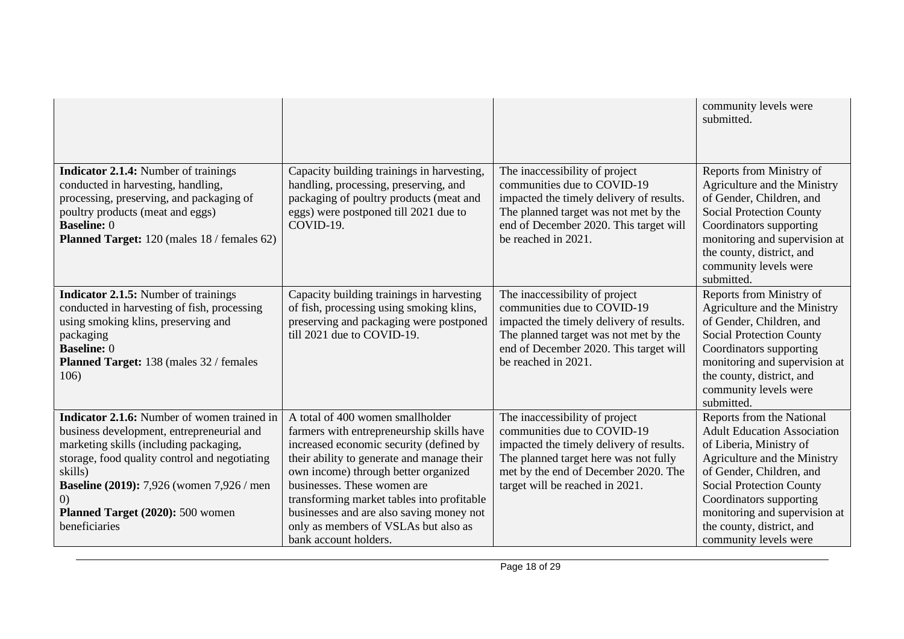|                                                                                                                                                                                                                                                                                                                       |                                                                                                                                                                                                                                                                                                                                                                                                          |                                                                                                                                                                                                                               | community levels were<br>submitted.                                                                                                                                                                                                                                                                         |
|-----------------------------------------------------------------------------------------------------------------------------------------------------------------------------------------------------------------------------------------------------------------------------------------------------------------------|----------------------------------------------------------------------------------------------------------------------------------------------------------------------------------------------------------------------------------------------------------------------------------------------------------------------------------------------------------------------------------------------------------|-------------------------------------------------------------------------------------------------------------------------------------------------------------------------------------------------------------------------------|-------------------------------------------------------------------------------------------------------------------------------------------------------------------------------------------------------------------------------------------------------------------------------------------------------------|
| <b>Indicator 2.1.4:</b> Number of trainings<br>conducted in harvesting, handling,<br>processing, preserving, and packaging of<br>poultry products (meat and eggs)<br><b>Baseline: 0</b><br>Planned Target: 120 (males 18 / females 62)                                                                                | Capacity building trainings in harvesting,<br>handling, processing, preserving, and<br>packaging of poultry products (meat and<br>eggs) were postponed till 2021 due to<br>COVID-19.                                                                                                                                                                                                                     | The inaccessibility of project<br>communities due to COVID-19<br>impacted the timely delivery of results.<br>The planned target was not met by the<br>end of December 2020. This target will<br>be reached in 2021.           | Reports from Ministry of<br>Agriculture and the Ministry<br>of Gender, Children, and<br><b>Social Protection County</b><br>Coordinators supporting<br>monitoring and supervision at<br>the county, district, and<br>community levels were<br>submitted.                                                     |
| <b>Indicator 2.1.5:</b> Number of trainings<br>conducted in harvesting of fish, processing<br>using smoking klins, preserving and<br>packaging<br><b>Baseline: 0</b><br><b>Planned Target:</b> 138 (males 32 / females<br>106)                                                                                        | Capacity building trainings in harvesting<br>of fish, processing using smoking klins,<br>preserving and packaging were postponed<br>till 2021 due to COVID-19.                                                                                                                                                                                                                                           | The inaccessibility of project<br>communities due to COVID-19<br>impacted the timely delivery of results.<br>The planned target was not met by the<br>end of December 2020. This target will<br>be reached in 2021.           | Reports from Ministry of<br>Agriculture and the Ministry<br>of Gender, Children, and<br><b>Social Protection County</b><br>Coordinators supporting<br>monitoring and supervision at<br>the county, district, and<br>community levels were<br>submitted.                                                     |
| <b>Indicator 2.1.6:</b> Number of women trained in<br>business development, entrepreneurial and<br>marketing skills (including packaging,<br>storage, food quality control and negotiating<br>skills)<br><b>Baseline (2019):</b> 7,926 (women 7,926 / men<br>(0)<br>Planned Target (2020): 500 women<br>beneficiaries | A total of 400 women smallholder<br>farmers with entrepreneurship skills have<br>increased economic security (defined by<br>their ability to generate and manage their<br>own income) through better organized<br>businesses. These women are<br>transforming market tables into profitable<br>businesses and are also saving money not<br>only as members of VSLAs but also as<br>bank account holders. | The inaccessibility of project<br>communities due to COVID-19<br>impacted the timely delivery of results.<br>The planned target here was not fully<br>met by the end of December 2020. The<br>target will be reached in 2021. | Reports from the National<br><b>Adult Education Association</b><br>of Liberia, Ministry of<br>Agriculture and the Ministry<br>of Gender, Children, and<br><b>Social Protection County</b><br>Coordinators supporting<br>monitoring and supervision at<br>the county, district, and<br>community levels were |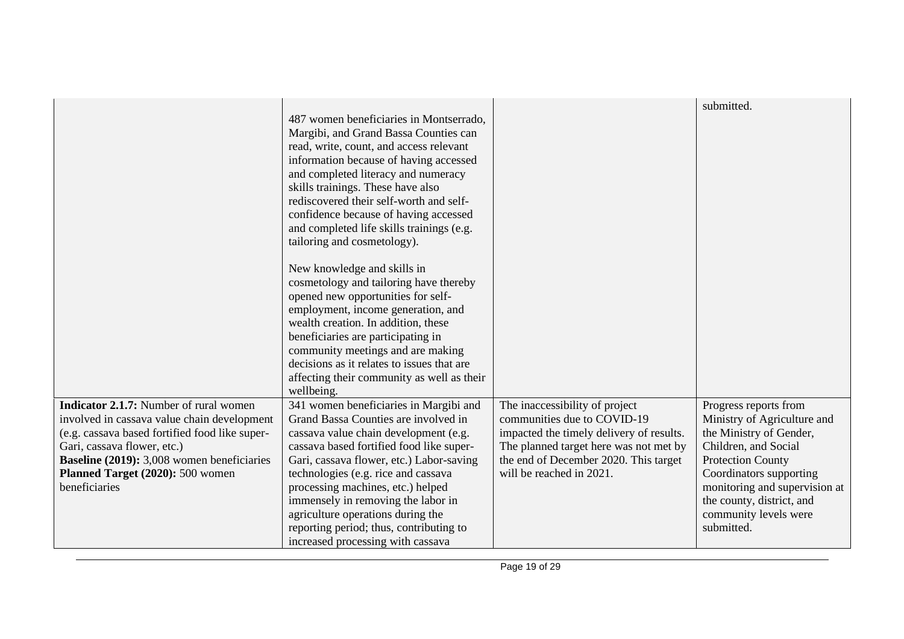|                                                |                                            |                                          | submitted.                    |
|------------------------------------------------|--------------------------------------------|------------------------------------------|-------------------------------|
|                                                | 487 women beneficiaries in Montserrado,    |                                          |                               |
|                                                | Margibi, and Grand Bassa Counties can      |                                          |                               |
|                                                | read, write, count, and access relevant    |                                          |                               |
|                                                | information because of having accessed     |                                          |                               |
|                                                | and completed literacy and numeracy        |                                          |                               |
|                                                | skills trainings. These have also          |                                          |                               |
|                                                | rediscovered their self-worth and self-    |                                          |                               |
|                                                | confidence because of having accessed      |                                          |                               |
|                                                | and completed life skills trainings (e.g.  |                                          |                               |
|                                                | tailoring and cosmetology).                |                                          |                               |
|                                                | New knowledge and skills in                |                                          |                               |
|                                                | cosmetology and tailoring have thereby     |                                          |                               |
|                                                | opened new opportunities for self-         |                                          |                               |
|                                                | employment, income generation, and         |                                          |                               |
|                                                | wealth creation. In addition, these        |                                          |                               |
|                                                | beneficiaries are participating in         |                                          |                               |
|                                                | community meetings and are making          |                                          |                               |
|                                                | decisions as it relates to issues that are |                                          |                               |
|                                                | affecting their community as well as their |                                          |                               |
|                                                | wellbeing.                                 |                                          |                               |
| <b>Indicator 2.1.7:</b> Number of rural women  | 341 women beneficiaries in Margibi and     | The inaccessibility of project           | Progress reports from         |
| involved in cassava value chain development    | Grand Bassa Counties are involved in       | communities due to COVID-19              | Ministry of Agriculture and   |
| (e.g. cassava based fortified food like super- | cassava value chain development (e.g.      | impacted the timely delivery of results. | the Ministry of Gender,       |
| Gari, cassava flower, etc.)                    | cassava based fortified food like super-   | The planned target here was not met by   | Children, and Social          |
| Baseline (2019): 3,008 women beneficiaries     | Gari, cassava flower, etc.) Labor-saving   | the end of December 2020. This target    | <b>Protection County</b>      |
| Planned Target (2020): 500 women               | technologies (e.g. rice and cassava        | will be reached in 2021.                 | Coordinators supporting       |
| beneficiaries                                  | processing machines, etc.) helped          |                                          | monitoring and supervision at |
|                                                | immensely in removing the labor in         |                                          | the county, district, and     |
|                                                | agriculture operations during the          |                                          | community levels were         |
|                                                | reporting period; thus, contributing to    |                                          | submitted.                    |
|                                                | increased processing with cassava          |                                          |                               |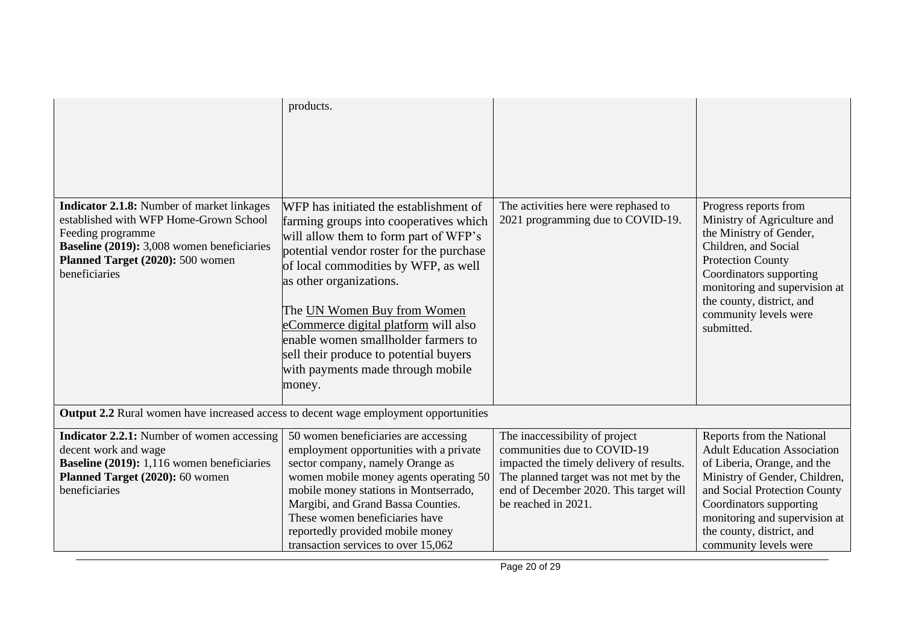|                                                                                                                                                                                                                            | products.                                                                                                                                                                                                                                                                                                                                                                                                                                       |                                                                                                                                                                                                                     |                                                                                                                                                                                                                                                                                   |
|----------------------------------------------------------------------------------------------------------------------------------------------------------------------------------------------------------------------------|-------------------------------------------------------------------------------------------------------------------------------------------------------------------------------------------------------------------------------------------------------------------------------------------------------------------------------------------------------------------------------------------------------------------------------------------------|---------------------------------------------------------------------------------------------------------------------------------------------------------------------------------------------------------------------|-----------------------------------------------------------------------------------------------------------------------------------------------------------------------------------------------------------------------------------------------------------------------------------|
| <b>Indicator 2.1.8:</b> Number of market linkages<br>established with WFP Home-Grown School<br>Feeding programme<br><b>Baseline (2019):</b> 3,008 women beneficiaries<br>Planned Target (2020): 500 women<br>beneficiaries | WFP has initiated the establishment of<br>farming groups into cooperatives which<br>will allow them to form part of WFP's<br>potential vendor roster for the purchase<br>of local commodities by WFP, as well<br>as other organizations.<br>The UN Women Buy from Women<br>eCommerce digital platform will also<br>enable women smallholder farmers to<br>sell their produce to potential buyers<br>with payments made through mobile<br>money. | The activities here were rephased to<br>2021 programming due to COVID-19.                                                                                                                                           | Progress reports from<br>Ministry of Agriculture and<br>the Ministry of Gender,<br>Children, and Social<br><b>Protection County</b><br>Coordinators supporting<br>monitoring and supervision at<br>the county, district, and<br>community levels were<br>submitted.               |
| <b>Output 2.2</b> Rural women have increased access to decent wage employment opportunities                                                                                                                                |                                                                                                                                                                                                                                                                                                                                                                                                                                                 |                                                                                                                                                                                                                     |                                                                                                                                                                                                                                                                                   |
| <b>Indicator 2.2.1:</b> Number of women accessing<br>decent work and wage<br><b>Baseline (2019):</b> 1,116 women beneficiaries<br>Planned Target (2020): 60 women<br>beneficiaries                                         | 50 women beneficiaries are accessing<br>employment opportunities with a private<br>sector company, namely Orange as<br>women mobile money agents operating 50<br>mobile money stations in Montserrado,<br>Margibi, and Grand Bassa Counties.<br>These women beneficiaries have<br>reportedly provided mobile money<br>transaction services to over 15,062                                                                                       | The inaccessibility of project<br>communities due to COVID-19<br>impacted the timely delivery of results.<br>The planned target was not met by the<br>end of December 2020. This target will<br>be reached in 2021. | Reports from the National<br><b>Adult Education Association</b><br>of Liberia, Orange, and the<br>Ministry of Gender, Children,<br>and Social Protection County<br>Coordinators supporting<br>monitoring and supervision at<br>the county, district, and<br>community levels were |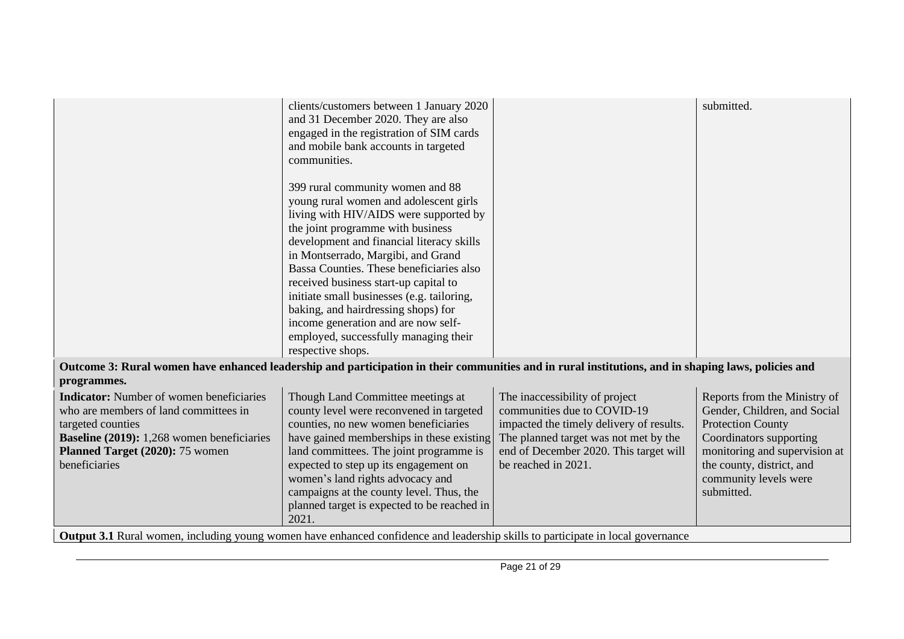|                                                                                                                                                     | clients/customers between 1 January 2020             |                                                               | submitted.                                         |
|-----------------------------------------------------------------------------------------------------------------------------------------------------|------------------------------------------------------|---------------------------------------------------------------|----------------------------------------------------|
|                                                                                                                                                     | and 31 December 2020. They are also                  |                                                               |                                                    |
|                                                                                                                                                     | engaged in the registration of SIM cards             |                                                               |                                                    |
|                                                                                                                                                     | and mobile bank accounts in targeted                 |                                                               |                                                    |
|                                                                                                                                                     | communities.                                         |                                                               |                                                    |
|                                                                                                                                                     |                                                      |                                                               |                                                    |
|                                                                                                                                                     | 399 rural community women and 88                     |                                                               |                                                    |
|                                                                                                                                                     | young rural women and adolescent girls               |                                                               |                                                    |
|                                                                                                                                                     | living with HIV/AIDS were supported by               |                                                               |                                                    |
|                                                                                                                                                     | the joint programme with business                    |                                                               |                                                    |
|                                                                                                                                                     | development and financial literacy skills            |                                                               |                                                    |
|                                                                                                                                                     | in Montserrado, Margibi, and Grand                   |                                                               |                                                    |
|                                                                                                                                                     | Bassa Counties. These beneficiaries also             |                                                               |                                                    |
|                                                                                                                                                     | received business start-up capital to                |                                                               |                                                    |
|                                                                                                                                                     | initiate small businesses (e.g. tailoring,           |                                                               |                                                    |
|                                                                                                                                                     | baking, and hairdressing shops) for                  |                                                               |                                                    |
|                                                                                                                                                     | income generation and are now self-                  |                                                               |                                                    |
|                                                                                                                                                     | employed, successfully managing their                |                                                               |                                                    |
|                                                                                                                                                     | respective shops.                                    |                                                               |                                                    |
| Outcome 3: Rural women have enhanced leadership and participation in their communities and in rural institutions, and in shaping laws, policies and |                                                      |                                                               |                                                    |
| programmes.                                                                                                                                         |                                                      |                                                               |                                                    |
| <b>Indicator:</b> Number of women beneficiaries                                                                                                     | Though Land Committee meetings at                    | The inaccessibility of project                                | Reports from the Ministry of                       |
| who are members of land committees in                                                                                                               | county level were reconvened in targeted             | communities due to COVID-19                                   | Gender, Children, and Social                       |
| targeted counties                                                                                                                                   | counties, no new women beneficiaries                 | impacted the timely delivery of results.                      | <b>Protection County</b>                           |
| Baseline (2019): 1,268 women beneficiaries                                                                                                          | have gained memberships in these existing            | The planned target was not met by the                         | Coordinators supporting                            |
|                                                                                                                                                     |                                                      |                                                               |                                                    |
| Planned Target (2020): 75 women<br>beneficiaries                                                                                                    | land committees. The joint programme is              | end of December 2020. This target will<br>be reached in 2021. | monitoring and supervision at                      |
|                                                                                                                                                     | expected to step up its engagement on                |                                                               | the county, district, and<br>community levels were |
|                                                                                                                                                     | women's land rights advocacy and                     |                                                               | submitted.                                         |
|                                                                                                                                                     | campaigns at the county level. Thus, the             |                                                               |                                                    |
|                                                                                                                                                     | planned target is expected to be reached in<br>2021. |                                                               |                                                    |
|                                                                                                                                                     |                                                      |                                                               |                                                    |
| <b>Output 3.1</b> Rural women, including young women have enhanced confidence and leadership skills to participate in local governance              |                                                      |                                                               |                                                    |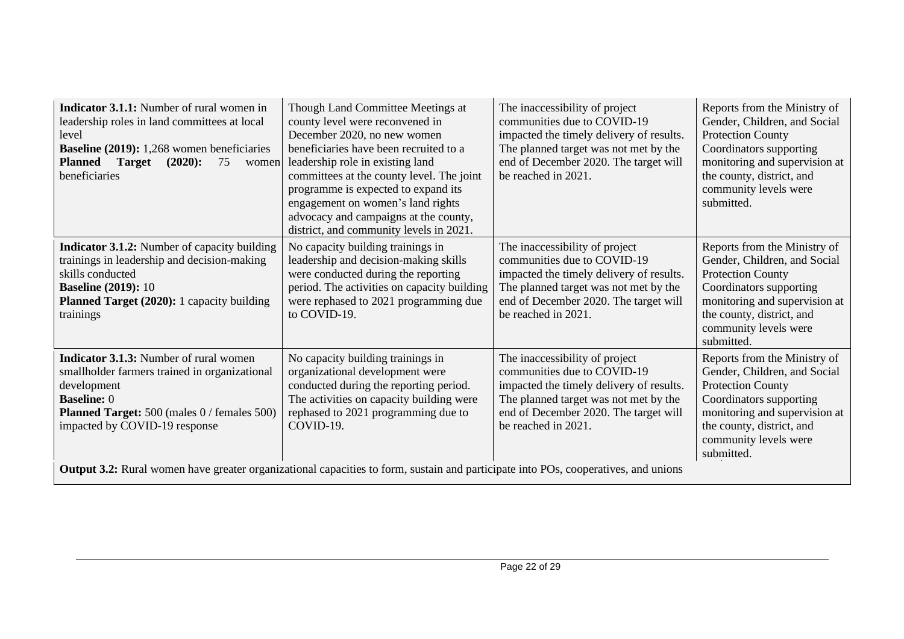| <b>Indicator 3.1.1:</b> Number of rural women in<br>leadership roles in land committees at local<br>level<br><b>Baseline (2019):</b> 1,268 women beneficiaries<br><b>Target</b><br>$(2020)$ :<br><b>Planned</b><br>75<br>women<br>beneficiaries                                                                                                           | Though Land Committee Meetings at<br>county level were reconvened in<br>December 2020, no new women<br>beneficiaries have been recruited to a<br>leadership role in existing land<br>committees at the county level. The joint<br>programme is expected to expand its<br>engagement on women's land rights<br>advocacy and campaigns at the county,<br>district, and community levels in 2021. | The inaccessibility of project<br>communities due to COVID-19<br>impacted the timely delivery of results.<br>The planned target was not met by the<br>end of December 2020. The target will<br>be reached in 2021. | Reports from the Ministry of<br>Gender, Children, and Social<br><b>Protection County</b><br>Coordinators supporting<br>monitoring and supervision at<br>the county, district, and<br>community levels were<br>submitted. |
|-----------------------------------------------------------------------------------------------------------------------------------------------------------------------------------------------------------------------------------------------------------------------------------------------------------------------------------------------------------|------------------------------------------------------------------------------------------------------------------------------------------------------------------------------------------------------------------------------------------------------------------------------------------------------------------------------------------------------------------------------------------------|--------------------------------------------------------------------------------------------------------------------------------------------------------------------------------------------------------------------|--------------------------------------------------------------------------------------------------------------------------------------------------------------------------------------------------------------------------|
| <b>Indicator 3.1.2:</b> Number of capacity building<br>trainings in leadership and decision-making<br>skills conducted<br><b>Baseline (2019): 10</b><br><b>Planned Target (2020):</b> 1 capacity building<br>trainings                                                                                                                                    | No capacity building trainings in<br>leadership and decision-making skills<br>were conducted during the reporting<br>period. The activities on capacity building<br>were rephased to 2021 programming due<br>to COVID-19.                                                                                                                                                                      | The inaccessibility of project<br>communities due to COVID-19<br>impacted the timely delivery of results.<br>The planned target was not met by the<br>end of December 2020. The target will<br>be reached in 2021. | Reports from the Ministry of<br>Gender, Children, and Social<br><b>Protection County</b><br>Coordinators supporting<br>monitoring and supervision at<br>the county, district, and<br>community levels were<br>submitted. |
| Indicator 3.1.3: Number of rural women<br>smallholder farmers trained in organizational<br>development<br><b>Baseline: 0</b><br><b>Planned Target:</b> 500 (males 0 / females 500)<br>impacted by COVID-19 response<br>Output 3.2: Rural women have greater organizational capacities to form, sustain and participate into POs, cooperatives, and unions | No capacity building trainings in<br>organizational development were<br>conducted during the reporting period.<br>The activities on capacity building were<br>rephased to 2021 programming due to<br>COVID-19.                                                                                                                                                                                 | The inaccessibility of project<br>communities due to COVID-19<br>impacted the timely delivery of results.<br>The planned target was not met by the<br>end of December 2020. The target will<br>be reached in 2021. | Reports from the Ministry of<br>Gender, Children, and Social<br><b>Protection County</b><br>Coordinators supporting<br>monitoring and supervision at<br>the county, district, and<br>community levels were<br>submitted. |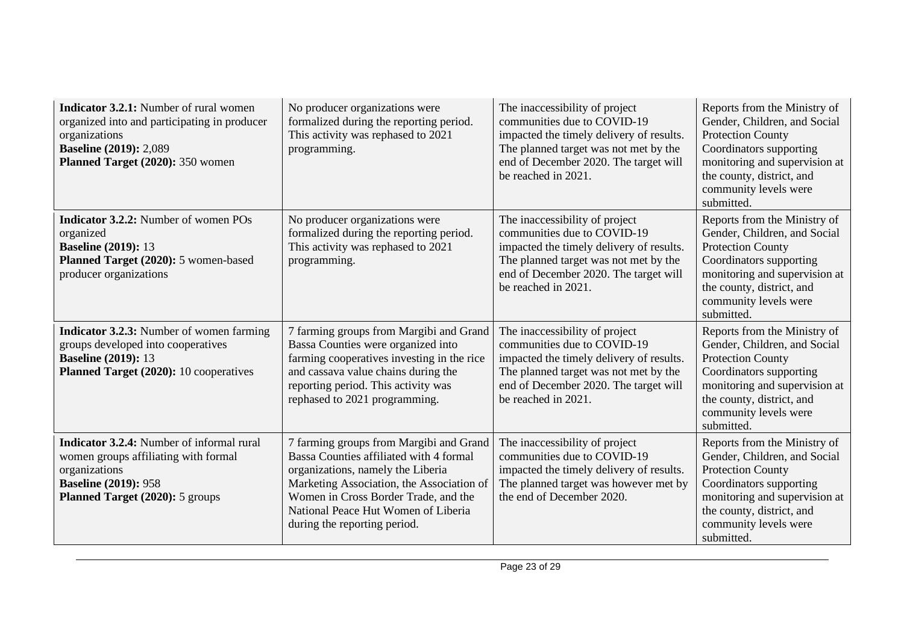| <b>Indicator 3.2.1:</b> Number of rural women<br>organized into and participating in producer<br>organizations<br><b>Baseline (2019): 2,089</b><br>Planned Target (2020): 350 women | No producer organizations were<br>formalized during the reporting period.<br>This activity was rephased to 2021<br>programming.                                                                                                                                                     | The inaccessibility of project<br>communities due to COVID-19<br>impacted the timely delivery of results.<br>The planned target was not met by the<br>end of December 2020. The target will<br>be reached in 2021. | Reports from the Ministry of<br>Gender, Children, and Social<br><b>Protection County</b><br>Coordinators supporting<br>monitoring and supervision at<br>the county, district, and<br>community levels were<br>submitted. |
|-------------------------------------------------------------------------------------------------------------------------------------------------------------------------------------|-------------------------------------------------------------------------------------------------------------------------------------------------------------------------------------------------------------------------------------------------------------------------------------|--------------------------------------------------------------------------------------------------------------------------------------------------------------------------------------------------------------------|--------------------------------------------------------------------------------------------------------------------------------------------------------------------------------------------------------------------------|
| <b>Indicator 3.2.2:</b> Number of women POs<br>organized<br><b>Baseline (2019): 13</b><br>Planned Target (2020): 5 women-based<br>producer organizations                            | No producer organizations were<br>formalized during the reporting period.<br>This activity was rephased to 2021<br>programming.                                                                                                                                                     | The inaccessibility of project<br>communities due to COVID-19<br>impacted the timely delivery of results.<br>The planned target was not met by the<br>end of December 2020. The target will<br>be reached in 2021. | Reports from the Ministry of<br>Gender, Children, and Social<br><b>Protection County</b><br>Coordinators supporting<br>monitoring and supervision at<br>the county, district, and<br>community levels were<br>submitted. |
| <b>Indicator 3.2.3:</b> Number of women farming<br>groups developed into cooperatives<br><b>Baseline (2019): 13</b><br>Planned Target (2020): 10 cooperatives                       | 7 farming groups from Margibi and Grand<br>Bassa Counties were organized into<br>farming cooperatives investing in the rice<br>and cassava value chains during the<br>reporting period. This activity was<br>rephased to 2021 programming.                                          | The inaccessibility of project<br>communities due to COVID-19<br>impacted the timely delivery of results.<br>The planned target was not met by the<br>end of December 2020. The target will<br>be reached in 2021. | Reports from the Ministry of<br>Gender, Children, and Social<br><b>Protection County</b><br>Coordinators supporting<br>monitoring and supervision at<br>the county, district, and<br>community levels were<br>submitted. |
| Indicator 3.2.4: Number of informal rural<br>women groups affiliating with formal<br>organizations<br><b>Baseline (2019): 958</b><br>Planned Target (2020): 5 groups                | 7 farming groups from Margibi and Grand<br>Bassa Counties affiliated with 4 formal<br>organizations, namely the Liberia<br>Marketing Association, the Association of<br>Women in Cross Border Trade, and the<br>National Peace Hut Women of Liberia<br>during the reporting period. | The inaccessibility of project<br>communities due to COVID-19<br>impacted the timely delivery of results.<br>The planned target was however met by<br>the end of December 2020.                                    | Reports from the Ministry of<br>Gender, Children, and Social<br><b>Protection County</b><br>Coordinators supporting<br>monitoring and supervision at<br>the county, district, and<br>community levels were<br>submitted. |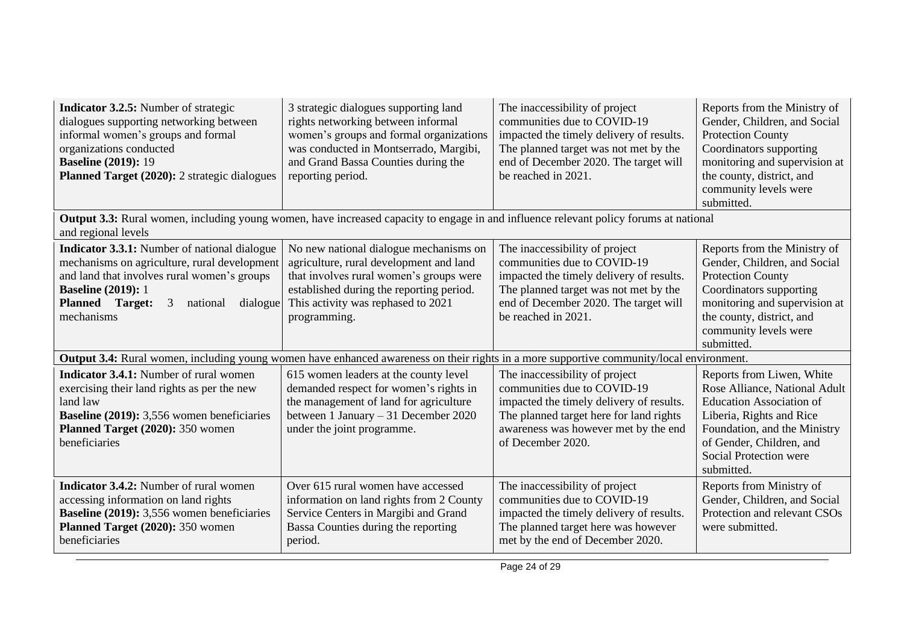| <b>Indicator 3.2.5:</b> Number of strategic<br>dialogues supporting networking between<br>informal women's groups and formal<br>organizations conducted<br><b>Baseline (2019): 19</b><br><b>Planned Target (2020):</b> 2 strategic dialogues      | 3 strategic dialogues supporting land<br>rights networking between informal<br>women's groups and formal organizations<br>was conducted in Montserrado, Margibi,<br>and Grand Bassa Counties during the<br>reporting period.   | The inaccessibility of project<br>communities due to COVID-19<br>impacted the timely delivery of results.<br>The planned target was not met by the<br>end of December 2020. The target will<br>be reached in 2021. | Reports from the Ministry of<br>Gender, Children, and Social<br><b>Protection County</b><br>Coordinators supporting<br>monitoring and supervision at<br>the county, district, and<br>community levels were<br>submitted.      |
|---------------------------------------------------------------------------------------------------------------------------------------------------------------------------------------------------------------------------------------------------|--------------------------------------------------------------------------------------------------------------------------------------------------------------------------------------------------------------------------------|--------------------------------------------------------------------------------------------------------------------------------------------------------------------------------------------------------------------|-------------------------------------------------------------------------------------------------------------------------------------------------------------------------------------------------------------------------------|
| <b>Output 3.3:</b> Rural women, including young women, have increased capacity to engage in and influence relevant policy forums at national<br>and regional levels                                                                               |                                                                                                                                                                                                                                |                                                                                                                                                                                                                    |                                                                                                                                                                                                                               |
| <b>Indicator 3.3.1:</b> Number of national dialogue<br>mechanisms on agriculture, rural development<br>and land that involves rural women's groups<br><b>Baseline (2019): 1</b><br><b>Planned</b> Target:<br>3 national<br>dialogue<br>mechanisms | No new national dialogue mechanisms on<br>agriculture, rural development and land<br>that involves rural women's groups were<br>established during the reporting period.<br>This activity was rephased to 2021<br>programming. | The inaccessibility of project<br>communities due to COVID-19<br>impacted the timely delivery of results.<br>The planned target was not met by the<br>end of December 2020. The target will<br>be reached in 2021. | Reports from the Ministry of<br>Gender, Children, and Social<br><b>Protection County</b><br>Coordinators supporting<br>monitoring and supervision at<br>the county, district, and<br>community levels were<br>submitted.      |
| <b>Output 3.4:</b> Rural women, including young women have enhanced awareness on their rights in a more supportive community/local environment.                                                                                                   |                                                                                                                                                                                                                                |                                                                                                                                                                                                                    |                                                                                                                                                                                                                               |
| <b>Indicator 3.4.1:</b> Number of rural women<br>exercising their land rights as per the new<br>land law<br><b>Baseline (2019):</b> 3,556 women beneficiaries<br>Planned Target (2020): 350 women<br>beneficiaries                                | 615 women leaders at the county level<br>demanded respect for women's rights in<br>the management of land for agriculture<br>between 1 January - 31 December 2020<br>under the joint programme.                                | The inaccessibility of project<br>communities due to COVID-19<br>impacted the timely delivery of results.<br>The planned target here for land rights<br>awareness was however met by the end<br>of December 2020.  | Reports from Liwen, White<br>Rose Alliance, National Adult<br><b>Education Association of</b><br>Liberia, Rights and Rice<br>Foundation, and the Ministry<br>of Gender, Children, and<br>Social Protection were<br>submitted. |
| <b>Indicator 3.4.2:</b> Number of rural women<br>accessing information on land rights<br><b>Baseline (2019):</b> 3,556 women beneficiaries<br>Planned Target (2020): 350 women<br>beneficiaries                                                   | Over 615 rural women have accessed<br>information on land rights from 2 County<br>Service Centers in Margibi and Grand<br>Bassa Counties during the reporting<br>period.                                                       | The inaccessibility of project<br>communities due to COVID-19<br>impacted the timely delivery of results.<br>The planned target here was however<br>met by the end of December 2020.                               | Reports from Ministry of<br>Gender, Children, and Social<br>Protection and relevant CSOs<br>were submitted.                                                                                                                   |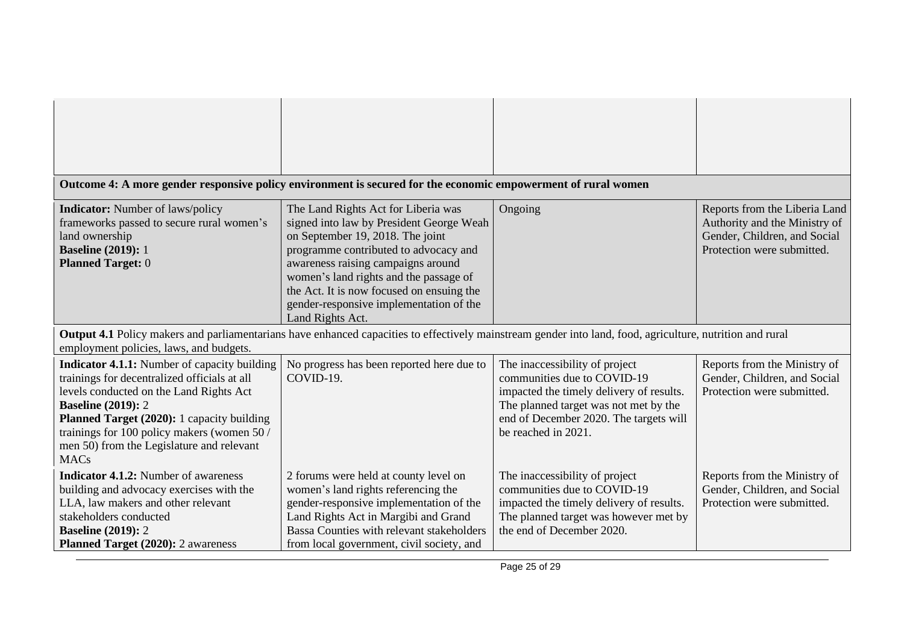| Outcome 4: A more gender responsive policy environment is secured for the economic empowerment of rural women                                                                                                                                                                                                                        |                                                                                                                                                                                                                                                                                                                                                          |                                                                                                                                                                                                                     |                                                                                                                              |
|--------------------------------------------------------------------------------------------------------------------------------------------------------------------------------------------------------------------------------------------------------------------------------------------------------------------------------------|----------------------------------------------------------------------------------------------------------------------------------------------------------------------------------------------------------------------------------------------------------------------------------------------------------------------------------------------------------|---------------------------------------------------------------------------------------------------------------------------------------------------------------------------------------------------------------------|------------------------------------------------------------------------------------------------------------------------------|
|                                                                                                                                                                                                                                                                                                                                      |                                                                                                                                                                                                                                                                                                                                                          |                                                                                                                                                                                                                     |                                                                                                                              |
| <b>Indicator:</b> Number of laws/policy<br>frameworks passed to secure rural women's<br>land ownership<br><b>Baseline (2019): 1</b><br><b>Planned Target: 0</b>                                                                                                                                                                      | The Land Rights Act for Liberia was<br>signed into law by President George Weah<br>on September 19, 2018. The joint<br>programme contributed to advocacy and<br>awareness raising campaigns around<br>women's land rights and the passage of<br>the Act. It is now focused on ensuing the<br>gender-responsive implementation of the<br>Land Rights Act. | Ongoing                                                                                                                                                                                                             | Reports from the Liberia Land<br>Authority and the Ministry of<br>Gender, Children, and Social<br>Protection were submitted. |
| Output 4.1 Policy makers and parliamentarians have enhanced capacities to effectively mainstream gender into land, food, agriculture, nutrition and rural<br>employment policies, laws, and budgets.                                                                                                                                 |                                                                                                                                                                                                                                                                                                                                                          |                                                                                                                                                                                                                     |                                                                                                                              |
| <b>Indicator 4.1.1:</b> Number of capacity building<br>trainings for decentralized officials at all<br>levels conducted on the Land Rights Act<br><b>Baseline (2019): 2</b><br>Planned Target (2020): 1 capacity building<br>trainings for 100 policy makers (women 50 /<br>men 50) from the Legislature and relevant<br><b>MACs</b> | No progress has been reported here due to<br>COVID-19.                                                                                                                                                                                                                                                                                                   | The inaccessibility of project<br>communities due to COVID-19<br>impacted the timely delivery of results.<br>The planned target was not met by the<br>end of December 2020. The targets will<br>be reached in 2021. | Reports from the Ministry of<br>Gender, Children, and Social<br>Protection were submitted.                                   |
| <b>Indicator 4.1.2:</b> Number of awareness<br>building and advocacy exercises with the<br>LLA, law makers and other relevant<br>stakeholders conducted<br><b>Baseline (2019): 2</b><br>Planned Target (2020): 2 awareness                                                                                                           | 2 forums were held at county level on<br>women's land rights referencing the<br>gender-responsive implementation of the<br>Land Rights Act in Margibi and Grand<br>Bassa Counties with relevant stakeholders<br>from local government, civil society, and                                                                                                | The inaccessibility of project<br>communities due to COVID-19<br>impacted the timely delivery of results.<br>The planned target was however met by<br>the end of December 2020.                                     | Reports from the Ministry of<br>Gender, Children, and Social<br>Protection were submitted.                                   |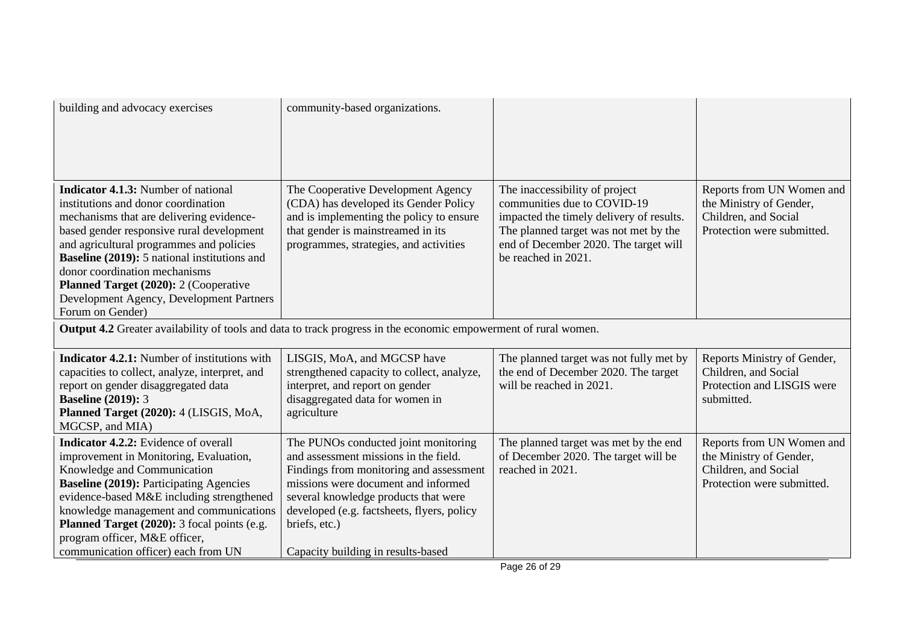| building and advocacy exercises                                                                                                                                                                                                                                                                                                                                                                                  | community-based organizations.                                                                                                                                                                                                                                                                               |                                                                                                                                                                                                                    |                                                                                                            |
|------------------------------------------------------------------------------------------------------------------------------------------------------------------------------------------------------------------------------------------------------------------------------------------------------------------------------------------------------------------------------------------------------------------|--------------------------------------------------------------------------------------------------------------------------------------------------------------------------------------------------------------------------------------------------------------------------------------------------------------|--------------------------------------------------------------------------------------------------------------------------------------------------------------------------------------------------------------------|------------------------------------------------------------------------------------------------------------|
| <b>Indicator 4.1.3:</b> Number of national<br>institutions and donor coordination<br>mechanisms that are delivering evidence-<br>based gender responsive rural development<br>and agricultural programmes and policies<br>Baseline (2019): 5 national institutions and<br>donor coordination mechanisms<br>Planned Target (2020): 2 (Cooperative<br>Development Agency, Development Partners<br>Forum on Gender) | The Cooperative Development Agency<br>(CDA) has developed its Gender Policy<br>and is implementing the policy to ensure<br>that gender is mainstreamed in its<br>programmes, strategies, and activities                                                                                                      | The inaccessibility of project<br>communities due to COVID-19<br>impacted the timely delivery of results.<br>The planned target was not met by the<br>end of December 2020. The target will<br>be reached in 2021. | Reports from UN Women and<br>the Ministry of Gender,<br>Children, and Social<br>Protection were submitted. |
| <b>Output 4.2</b> Greater availability of tools and data to track progress in the economic empowerment of rural women.                                                                                                                                                                                                                                                                                           |                                                                                                                                                                                                                                                                                                              |                                                                                                                                                                                                                    |                                                                                                            |
| <b>Indicator 4.2.1:</b> Number of institutions with<br>capacities to collect, analyze, interpret, and<br>report on gender disaggregated data<br><b>Baseline (2019): 3</b><br>Planned Target (2020): 4 (LISGIS, MoA,<br>MGCSP, and MIA)                                                                                                                                                                           | LISGIS, MoA, and MGCSP have<br>strengthened capacity to collect, analyze,<br>interpret, and report on gender<br>disaggregated data for women in<br>agriculture                                                                                                                                               | The planned target was not fully met by<br>the end of December 2020. The target<br>will be reached in 2021.                                                                                                        | Reports Ministry of Gender,<br>Children, and Social<br>Protection and LISGIS were<br>submitted.            |
| <b>Indicator 4.2.2:</b> Evidence of overall<br>improvement in Monitoring, Evaluation,<br>Knowledge and Communication<br><b>Baseline (2019): Participating Agencies</b><br>evidence-based M&E including strengthened<br>knowledge management and communications<br>Planned Target (2020): 3 focal points (e.g.<br>program officer, M&E officer,<br>communication officer) each from UN                            | The PUNOs conducted joint monitoring<br>and assessment missions in the field.<br>Findings from monitoring and assessment<br>missions were document and informed<br>several knowledge products that were<br>developed (e.g. factsheets, flyers, policy<br>briefs, etc.)<br>Capacity building in results-based | The planned target was met by the end<br>of December 2020. The target will be<br>reached in 2021.                                                                                                                  | Reports from UN Women and<br>the Ministry of Gender,<br>Children, and Social<br>Protection were submitted. |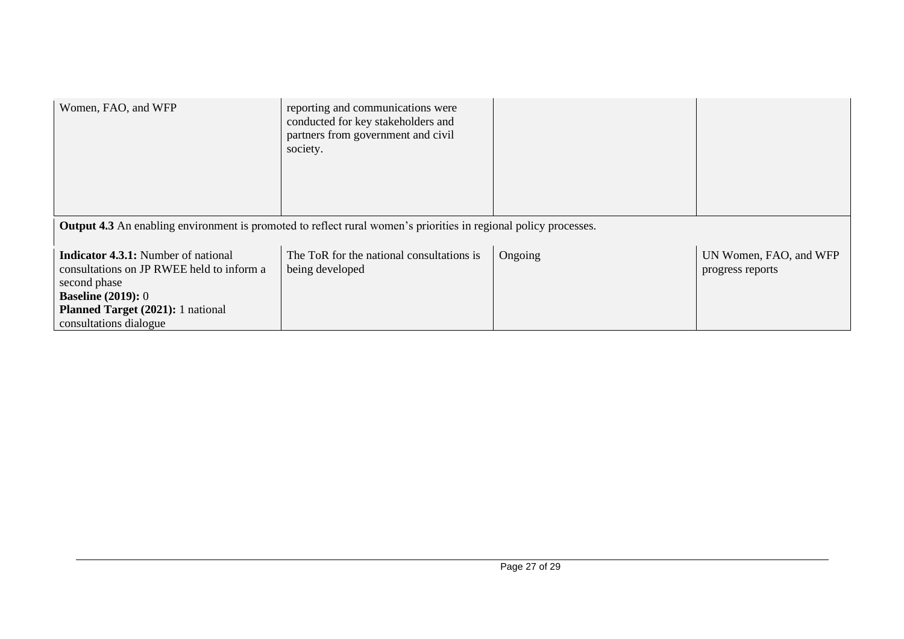| Women, FAO, and WFP                                                                                                                                                                                 | reporting and communications were<br>conducted for key stakeholders and<br>partners from government and civil<br>society. |         |                                            |
|-----------------------------------------------------------------------------------------------------------------------------------------------------------------------------------------------------|---------------------------------------------------------------------------------------------------------------------------|---------|--------------------------------------------|
| <b>Output 4.3</b> An enabling environment is promoted to reflect rural women's priorities in regional policy processes.                                                                             |                                                                                                                           |         |                                            |
| <b>Indicator 4.3.1:</b> Number of national<br>consultations on JP RWEE held to inform a<br>second phase<br><b>Baseline (2019): 0</b><br>Planned Target (2021): 1 national<br>consultations dialogue | The ToR for the national consultations is<br>being developed                                                              | Ongoing | UN Women, FAO, and WFP<br>progress reports |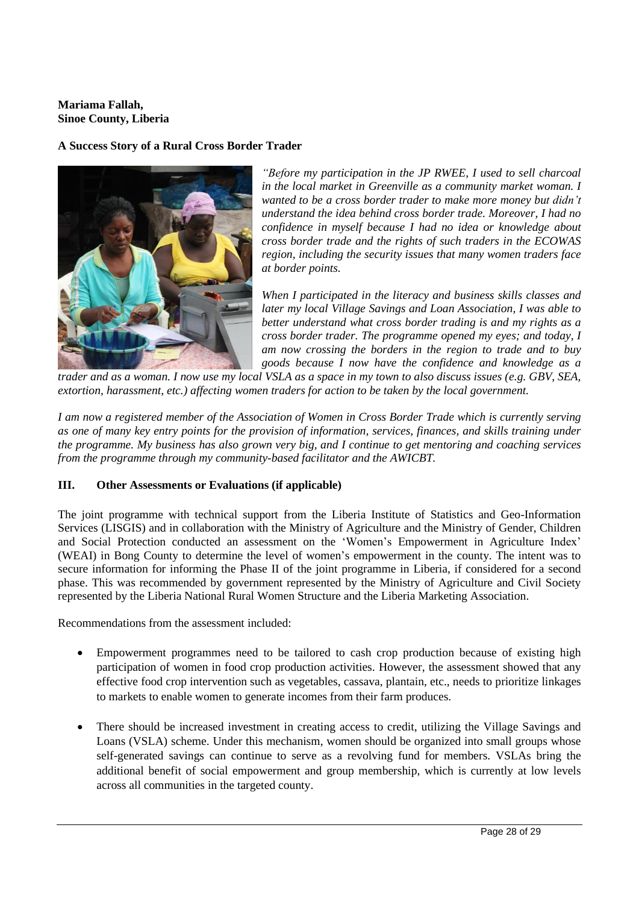# **Mariama Fallah, Sinoe County, Liberia**

# **A Success Story of a Rural Cross Border Trader**



*"Before my participation in the JP RWEE, I used to sell charcoal in the local market in Greenville as a community market woman. I wanted to be a cross border trader to make more money but didn't understand the idea behind cross border trade. Moreover, I had no confidence in myself because I had no idea or knowledge about cross border trade and the rights of such traders in the ECOWAS region, including the security issues that many women traders face at border points.* 

*When I participated in the literacy and business skills classes and later my local Village Savings and Loan Association, I was able to better understand what cross border trading is and my rights as a cross border trader. The programme opened my eyes; and today, I am now crossing the borders in the region to trade and to buy goods because I now have the confidence and knowledge as a* 

*trader and as a woman. I now use my local VSLA as a space in my town to also discuss issues (e.g. GBV, SEA, extortion, harassment, etc.) affecting women traders for action to be taken by the local government.* 

*I am now a registered member of the Association of Women in Cross Border Trade which is currently serving as one of many key entry points for the provision of information, services, finances, and skills training under the programme. My business has also grown very big, and I continue to get mentoring and coaching services from the programme through my community-based facilitator and the AWICBT.* 

# **III. Other Assessments or Evaluations (if applicable)**

The joint programme with technical support from the Liberia Institute of Statistics and Geo-Information Services (LISGIS) and in collaboration with the Ministry of Agriculture and the Ministry of Gender, Children and Social Protection conducted an assessment on the 'Women's Empowerment in Agriculture Index' (WEAI) in Bong County to determine the level of women's empowerment in the county. The intent was to secure information for informing the Phase II of the joint programme in Liberia, if considered for a second phase. This was recommended by government represented by the Ministry of Agriculture and Civil Society represented by the Liberia National Rural Women Structure and the Liberia Marketing Association.

Recommendations from the assessment included:

- Empowerment programmes need to be tailored to cash crop production because of existing high participation of women in food crop production activities. However, the assessment showed that any effective food crop intervention such as vegetables, cassava, plantain, etc., needs to prioritize linkages to markets to enable women to generate incomes from their farm produces.
- There should be increased investment in creating access to credit, utilizing the Village Savings and Loans (VSLA) scheme. Under this mechanism, women should be organized into small groups whose self-generated savings can continue to serve as a revolving fund for members. VSLAs bring the additional benefit of social empowerment and group membership, which is currently at low levels across all communities in the targeted county.